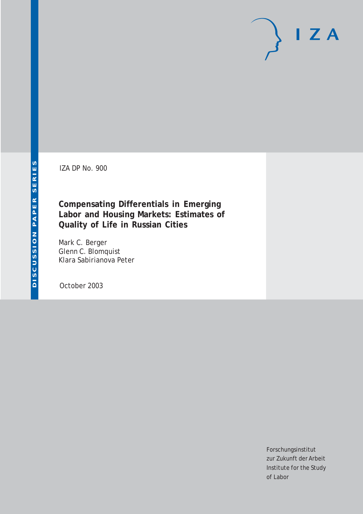IZA DP No. 900

**Compensating Differentials in Emerging Labor and Housing Markets: Estimates of Quality of Life in Russian Cities**

Mark C. Berger Glenn C. Blomquist Klara Sabirianova Peter

October 2003

Forschungsinstitut zur Zukunft der Arbeit Institute for the Study of Labor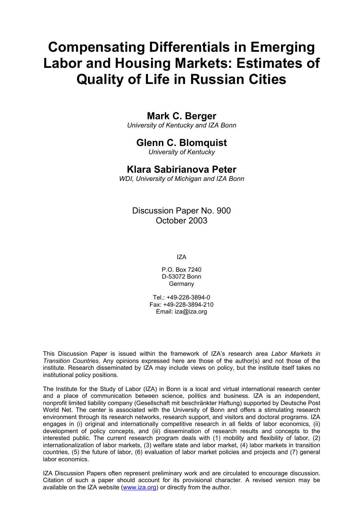# **Compensating Differentials in Emerging Labor and Housing Markets: Estimates of Quality of Life in Russian Cities**

### **Mark C. Berger**

*University of Kentucky and IZA Bonn* 

# **Glenn C. Blomquist**

*University of Kentucky* 

### **Klara Sabirianova Peter**

*WDI, University of Michigan and IZA Bonn* 

Discussion Paper No. 900 October 2003

IZA

P.O. Box 7240 D-53072 Bonn Germany

Tel.: +49-228-3894-0 Fax: +49-228-3894-210 Email: [iza@iza.org](mailto:iza@iza.org)

This Discussion Paper is issued within the framework of IZA's research area *Labor Markets in Transition Countries.* Any opinions expressed here are those of the author(s) and not those of the institute. Research disseminated by IZA may include views on policy, but the institute itself takes no institutional policy positions.

The Institute for the Study of Labor (IZA) in Bonn is a local and virtual international research center and a place of communication between science, politics and business. IZA is an independent, nonprofit limited liability company (Gesellschaft mit beschränkter Haftung) supported by Deutsche Post World Net. The center is associated with the University of Bonn and offers a stimulating research environment through its research networks, research support, and visitors and doctoral programs. IZA engages in (i) original and internationally competitive research in all fields of labor economics, (ii) development of policy concepts, and (iii) dissemination of research results and concepts to the interested public. The current research program deals with (1) mobility and flexibility of labor, (2) internationalization of labor markets, (3) welfare state and labor market, (4) labor markets in transition countries, (5) the future of labor, (6) evaluation of labor market policies and projects and (7) general labor economics.

IZA Discussion Papers often represent preliminary work and are circulated to encourage discussion. Citation of such a paper should account for its provisional character. A revised version may be available on the IZA website ([www.iza.org](http://www.iza.org/)) or directly from the author.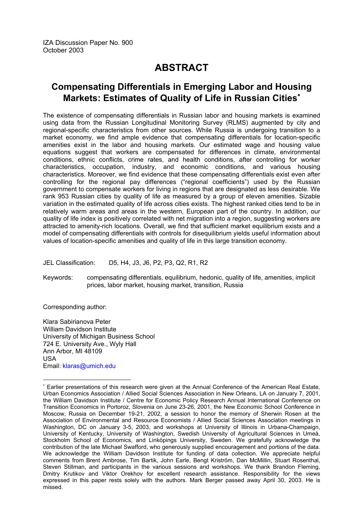# **ABSTRACT**

### **Compensating Differentials in Emerging Labor and Housing Markets: Estimates of Quality of Life in Russian Cities**[∗](#page-2-0)

The existence of compensating differentials in Russian labor and housing markets is examined using data from the Russian Longitudinal Monitoring Survey (RLMS) augmented by city and regional-specific characteristics from other sources. While Russia is undergoing transition to a market economy, we find ample evidence that compensating differentials for location-specific amenities exist in the labor and housing markets. Our estimated wage and housing value equations suggest that workers are compensated for differences in climate, environmental conditions, ethnic conflicts, crime rates, and health conditions, after controlling for worker characteristics, occupation, industry, and economic conditions, and various housing characteristics. Moreover, we find evidence that these compensating differentials exist even after controlling for the regional pay differences ("regional coefficients") used by the Russian government to compensate workers for living in regions that are designated as less desirable. We rank 953 Russian cities by quality of life as measured by a group of eleven amenities. Sizable variation in the estimated quality of life across cities exists. The highest ranked cities tend to be in relatively warm areas and areas in the western, European part of the country. In addition, our quality of life index is positively correlated with net migration into a region, suggesting workers are attracted to amenity-rich locations. Overall, we find that sufficient market equilibrium exists and a model of compensating differentials with controls for disequilibrium yields useful information about values of location-specific amenities and quality of life in this large transition economy.

JEL Classification: D5, H4, J3, J6, P2, P3, Q2, R1, R2

Keywords: compensating differentials, equilibrium, hedonic, quality of life, amenities, implicit prices, labor market, housing market, transition, Russia

Corresponding author:

 $\overline{a}$ 

Klara Sabirianova Peter William Davidson Institute University of Michigan Business School 724 E. University Ave., Wyly Hall Ann Arbor, MI 48109 USA Email: [klaras@umich.edu](mailto:klaras@umich.edu) 

<span id="page-2-0"></span><sup>∗</sup> Earlier presentations of this research were given at the Annual Conference of the American Real Estate, Urban Economics Association / Allied Social Sciences Association in New Orleans, LA on January 7, 2001, the William Davidson Institute / Centre for Economic Policy Research Annual International Conference on Transition Economics in Portoroz, Slovenia on June 23-26, 2001, the New Economic School Conference in Moscow, Russia on December 19-21, 2002, a session to honor the memory of Sherwin Rosen at the Association of Environmental and Resource Economists / Allied Social Sciences Association meetings in Washington, DC on January 3-5, 2003, and workshops at University of Illinois in Urbana-Champaign, University of Kentucky, University of Washington, Swedish University of Agricultural Sciences in Umeå, Stockholm School of Economics, and Linköpings University, Sweden. We gratefully acknowledge the contribution of the late Michael Swafford, who generously supplied encouragement and portions of the data. We acknowledge the William Davidson Institute for funding of data collection. We appreciate helpful comments from Brent Ambrose, Tim Bartik, John Earle, Bengt Kriström, Dan McMillin, Stuart Rosenthal, Steven Stillman, and participants in the various sessions and workshops. We thank Brandon Fleming, Dmitry Krutikov and Viktor Orekhov for excellent research assistance. Responsibility for the views expressed in this paper rests solely with the authors. Mark Berger passed away April 30, 2003. He is missed.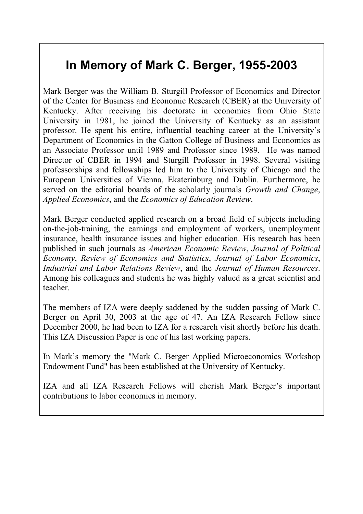# **In Memory of Mark C. Berger, 1955-2003**

Mark Berger was the William B. Sturgill Professor of Economics and Director of the Center for Business and Economic Research (CBER) at the University of Kentucky. After receiving his doctorate in economics from Ohio State University in 1981, he joined the University of Kentucky as an assistant professor. He spent his entire, influential teaching career at the University's Department of Economics in the Gatton College of Business and Economics as an Associate Professor until 1989 and Professor since 1989. He was named Director of CBER in 1994 and Sturgill Professor in 1998. Several visiting professorships and fellowships led him to the University of Chicago and the European Universities of Vienna, Ekaterinburg and Dublin. Furthermore, he served on the editorial boards of the scholarly journals *Growth and Change*, *Applied Economics*, and the *Economics of Education Review*.

Mark Berger conducted applied research on a broad field of subjects including on-the-job-training, the earnings and employment of workers, unemployment insurance, health insurance issues and higher education. His research has been published in such journals as *American Economic Review*, *Journal of Political Economy*, *Review of Economics and Statistics*, *Journal of Labor Economics*, *Industrial and Labor Relations Review*, and the *Journal of Human Resources*. Among his colleagues and students he was highly valued as a great scientist and teacher.

The members of IZA were deeply saddened by the sudden passing of Mark C. Berger on April 30, 2003 at the age of 47. An IZA Research Fellow since December 2000, he had been to IZA for a research visit shortly before his death. This IZA Discussion Paper is one of his last working papers.

In Mark's memory the "Mark C. Berger Applied Microeconomics Workshop Endowment Fund" has been established at the University of Kentucky.

IZA and all IZA Research Fellows will cherish Mark Berger's important contributions to labor economics in memory.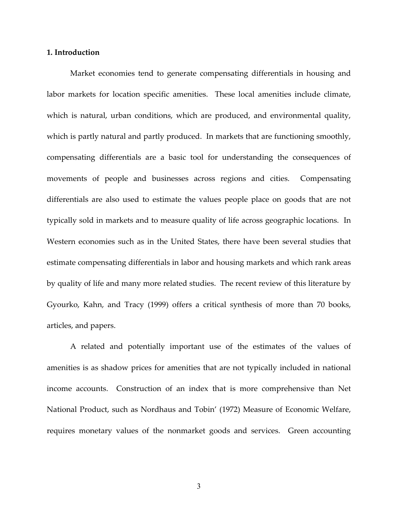#### **1. Introduction**

Market economies tend to generate compensating differentials in housing and labor markets for location specific amenities. These local amenities include climate, which is natural, urban conditions, which are produced, and environmental quality, which is partly natural and partly produced. In markets that are functioning smoothly, compensating differentials are a basic tool for understanding the consequences of movements of people and businesses across regions and cities. Compensating differentials are also used to estimate the values people place on goods that are not typically sold in markets and to measure quality of life across geographic locations. In Western economies such as in the United States, there have been several studies that estimate compensating differentials in labor and housing markets and which rank areas by quality of life and many more related studies. The recent review of this literature by Gyourko, Kahn, and Tracy (1999) offers a critical synthesis of more than 70 books, articles, and papers.

A related and potentially important use of the estimates of the values of amenities is as shadow prices for amenities that are not typically included in national income accounts. Construction of an index that is more comprehensive than Net National Product, such as Nordhaus and Tobin' (1972) Measure of Economic Welfare, requires monetary values of the nonmarket goods and services. Green accounting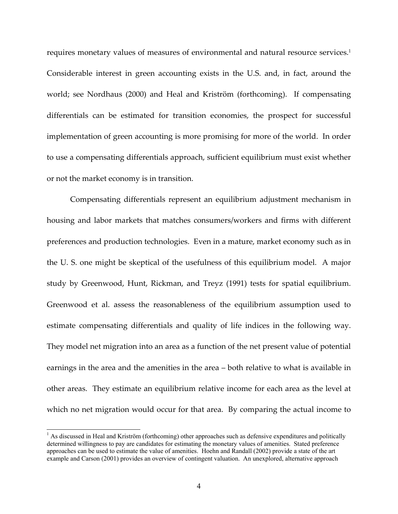requires monetary values of measures of environmental and natural resource services.<sup>1</sup> Considerable interest in green accounting exists in the U.S. and, in fact, around the world; see Nordhaus (2000) and Heal and Kriström (forthcoming). If compensating differentials can be estimated for transition economies, the prospect for successful implementation of green accounting is more promising for more of the world. In order to use a compensating differentials approach, sufficient equilibrium must exist whether or not the market economy is in transition.

 Compensating differentials represent an equilibrium adjustment mechanism in housing and labor markets that matches consumers/workers and firms with different preferences and production technologies. Even in a mature, market economy such as in the U. S. one might be skeptical of the usefulness of this equilibrium model. A major study by Greenwood, Hunt, Rickman, and Treyz (1991) tests for spatial equilibrium. Greenwood et al. assess the reasonableness of the equilibrium assumption used to estimate compensating differentials and quality of life indices in the following way. They model net migration into an area as a function of the net present value of potential earnings in the area and the amenities in the area – both relative to what is available in other areas. They estimate an equilibrium relative income for each area as the level at which no net migration would occur for that area. By comparing the actual income to

 $<sup>1</sup>$  As discussed in Heal and Kriström (forthcoming) other approaches such as defensive expenditures and politically</sup> determined willingness to pay are candidates for estimating the monetary values of amenities. Stated preference approaches can be used to estimate the value of amenities. Hoehn and Randall (2002) provide a state of the art example and Carson (2001) provides an overview of contingent valuation. An unexplored, alternative approach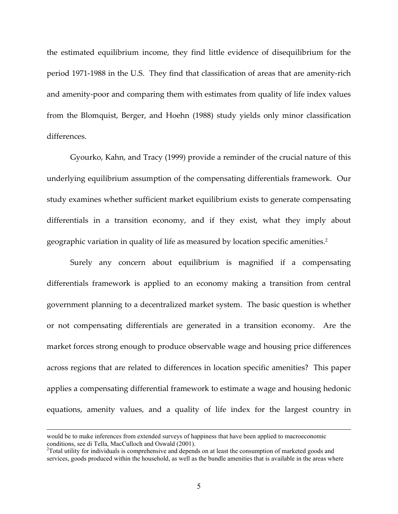the estimated equilibrium income, they find little evidence of disequilibrium for the period 1971-1988 in the U.S. They find that classification of areas that are amenity-rich and amenity-poor and comparing them with estimates from quality of life index values from the Blomquist, Berger, and Hoehn (1988) study yields only minor classification differences.

Gyourko, Kahn, and Tracy (1999) provide a reminder of the crucial nature of this underlying equilibrium assumption of the compensating differentials framework. Our study examines whether sufficient market equilibrium exists to generate compensating differentials in a transition economy, and if they exist, what they imply about geographic variation in quality of life as measured by location specific amenities.2

Surely any concern about equilibrium is magnified if a compensating differentials framework is applied to an economy making a transition from central government planning to a decentralized market system. The basic question is whether or not compensating differentials are generated in a transition economy. Are the market forces strong enough to produce observable wage and housing price differences across regions that are related to differences in location specific amenities? This paper applies a compensating differential framework to estimate a wage and housing hedonic equations, amenity values, and a quality of life index for the largest country in

would be to make inferences from extended surveys of happiness that have been applied to macroeconomic conditions, see di Tella, MacCulloch and Oswald (2001).

 $2$ Total utility for individuals is comprehensive and depends on at least the consumption of marketed goods and services, goods produced within the household, as well as the bundle amenities that is available in the areas where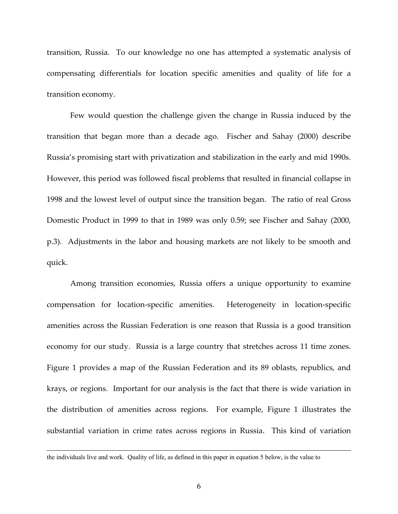transition, Russia. To our knowledge no one has attempted a systematic analysis of compensating differentials for location specific amenities and quality of life for a transition economy.

Few would question the challenge given the change in Russia induced by the transition that began more than a decade ago. Fischer and Sahay (2000) describe Russia's promising start with privatization and stabilization in the early and mid 1990s. However, this period was followed fiscal problems that resulted in financial collapse in 1998 and the lowest level of output since the transition began. The ratio of real Gross Domestic Product in 1999 to that in 1989 was only 0.59; see Fischer and Sahay (2000, p.3). Adjustments in the labor and housing markets are not likely to be smooth and quick.

Among transition economies, Russia offers a unique opportunity to examine compensation for location-specific amenities. Heterogeneity in location-specific amenities across the Russian Federation is one reason that Russia is a good transition economy for our study. Russia is a large country that stretches across 11 time zones. Figure 1 provides a map of the Russian Federation and its 89 oblasts, republics, and krays, or regions. Important for our analysis is the fact that there is wide variation in the distribution of amenities across regions. For example, Figure 1 illustrates the substantial variation in crime rates across regions in Russia. This kind of variation

the individuals live and work. Quality of life, as defined in this paper in equation 5 below, is the value to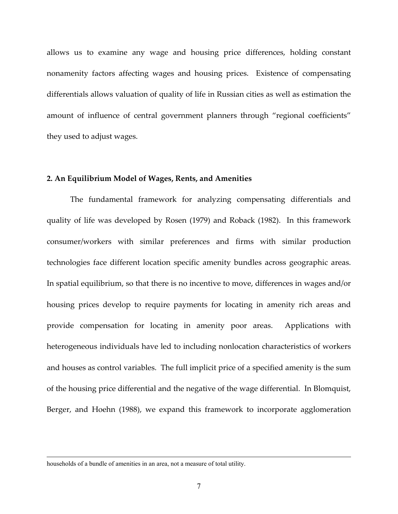allows us to examine any wage and housing price differences, holding constant nonamenity factors affecting wages and housing prices. Existence of compensating differentials allows valuation of quality of life in Russian cities as well as estimation the amount of influence of central government planners through "regional coefficients" they used to adjust wages.

#### **2. An Equilibrium Model of Wages, Rents, and Amenities**

The fundamental framework for analyzing compensating differentials and quality of life was developed by Rosen (1979) and Roback (1982). In this framework consumer/workers with similar preferences and firms with similar production technologies face different location specific amenity bundles across geographic areas. In spatial equilibrium, so that there is no incentive to move, differences in wages and/or housing prices develop to require payments for locating in amenity rich areas and provide compensation for locating in amenity poor areas. Applications with heterogeneous individuals have led to including nonlocation characteristics of workers and houses as control variables. The full implicit price of a specified amenity is the sum of the housing price differential and the negative of the wage differential. In Blomquist, Berger, and Hoehn (1988), we expand this framework to incorporate agglomeration

households of a bundle of amenities in an area, not a measure of total utility.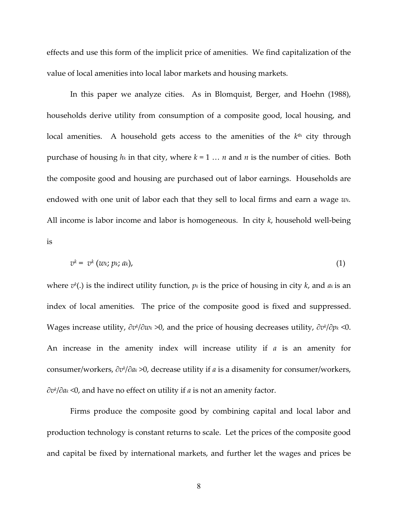effects and use this form of the implicit price of amenities. We find capitalization of the value of local amenities into local labor markets and housing markets.

In this paper we analyze cities. As in Blomquist, Berger, and Hoehn (1988), households derive utility from consumption of a composite good, local housing, and local amenities. A household gets access to the amenities of the  $k<sup>th</sup>$  city through purchase of housing *hk* in that city, where *k* = 1 … *n* and *n* is the number of cities. Both the composite good and housing are purchased out of labor earnings. Households are endowed with one unit of labor each that they sell to local firms and earn a wage *wk.*  All income is labor income and labor is homogeneous. In city *k*, household well-being is

$$
v^k = v^k \left( w_k; p_k; a_k \right), \tag{1}
$$

where *vk* (.) is the indirect utility function, *pk* is the price of housing in city *k*, and *ak* is an index of local amenities. The price of the composite good is fixed and suppressed. Wages increase utility, ∂*vk* /∂*wk* >0, and the price of housing decreases utility, ∂*vk* /∂*pk* <0. An increase in the amenity index will increase utility if *a* is an amenity for consumer/workers, ∂*vk* /∂*ak* >0, decrease utility if *a* is a disamenity for consumer/workers, ∂*vk* /∂*ak* <0, and have no effect on utility if *a* is not an amenity factor.

 Firms produce the composite good by combining capital and local labor and production technology is constant returns to scale. Let the prices of the composite good and capital be fixed by international markets, and further let the wages and prices be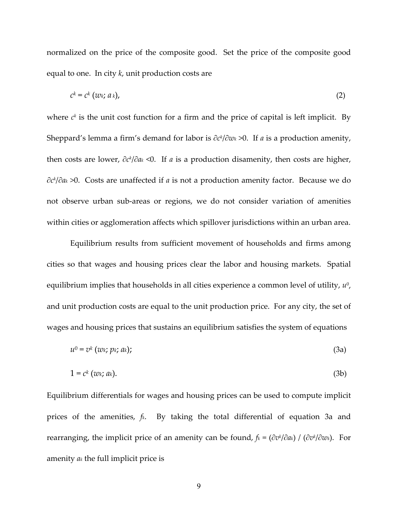normalized on the price of the composite good. Set the price of the composite good equal to one. In city *k*, unit production costs are

$$
c^k = c^k \left( w_k; a_k \right), \tag{2}
$$

where  $c<sup>k</sup>$  is the unit cost function for a firm and the price of capital is left implicit. By Sheppard's lemma a firm's demand for labor is ∂*ck* /∂*wk* >0. If *a* is a production amenity, then costs are lower, ∂*ck* /∂*ak* <0. If *a* is a production disamenity, then costs are higher, ∂*ck* /∂*ak* >0. Costs are unaffected if *a* is not a production amenity factor. Because we do not observe urban sub-areas or regions, we do not consider variation of amenities within cities or agglomeration affects which spillover jurisdictions within an urban area.

 Equilibrium results from sufficient movement of households and firms among cities so that wages and housing prices clear the labor and housing markets. Spatial equilibrium implies that households in all cities experience a common level of utility,  $u^0$ , and unit production costs are equal to the unit production price. For any city, the set of wages and housing prices that sustains an equilibrium satisfies the system of equations

$$
u^0 = v^k \left( w_k; \, p_k; \, a_k \right); \tag{3a}
$$

$$
1 = c^k \left( w_k; a_k \right). \tag{3b}
$$

Equilibrium differentials for wages and housing prices can be used to compute implicit prices of the amenities, *fk*. By taking the total differential of equation 3a and rearranging, the implicit price of an amenity can be found, *fk* = (∂*vk* /∂*ak*) / (∂*vk* /∂*wk*). For amenity *ak* the full implicit price is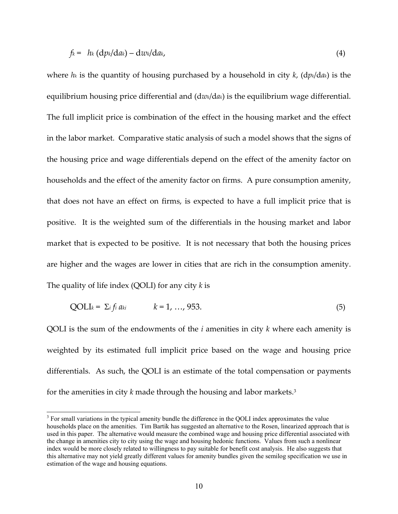$$
f_k = h_k (dp_k/da_k) - dw_k/da_k, \qquad (4)
$$

where *hk* is the quantity of housing purchased by a household in city *k*, (d*pk*/d*ak*) is the equilibrium housing price differential and (d*wk*/d*ak*) is the equilibrium wage differential. The full implicit price is combination of the effect in the housing market and the effect in the labor market. Comparative static analysis of such a model shows that the signs of the housing price and wage differentials depend on the effect of the amenity factor on households and the effect of the amenity factor on firms. A pure consumption amenity, that does not have an effect on firms, is expected to have a full implicit price that is positive. It is the weighted sum of the differentials in the housing market and labor market that is expected to be positive. It is not necessary that both the housing prices are higher and the wages are lower in cities that are rich in the consumption amenity. The quality of life index (QOLI) for any city *k* is

$$
QOLIk = \sum_{i} f_{i} a_{ki} \qquad k = 1, ..., 953.
$$
 (5)

QOLI is the sum of the endowments of the *i* amenities in city *k* where each amenity is weighted by its estimated full implicit price based on the wage and housing price differentials. As such, the QOLI is an estimate of the total compensation or payments for the amenities in city *k* made through the housing and labor markets.3

 $3$  For small variations in the typical amenity bundle the difference in the QOLI index approximates the value households place on the amenities. Tim Bartik has suggested an alternative to the Rosen, linearized approach that is used in this paper. The alternative would measure the combined wage and housing price differential associated with the change in amenities city to city using the wage and housing hedonic functions. Values from such a nonlinear index would be more closely related to willingness to pay suitable for benefit cost analysis. He also suggests that this alternative may not yield greatly different values for amenity bundles given the semilog specification we use in estimation of the wage and housing equations.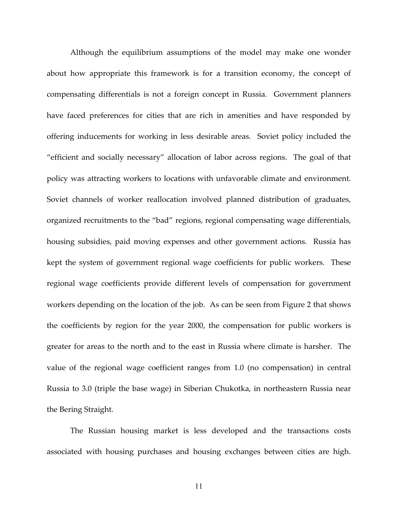Although the equilibrium assumptions of the model may make one wonder about how appropriate this framework is for a transition economy, the concept of compensating differentials is not a foreign concept in Russia. Government planners have faced preferences for cities that are rich in amenities and have responded by offering inducements for working in less desirable areas. Soviet policy included the "efficient and socially necessary" allocation of labor across regions. The goal of that policy was attracting workers to locations with unfavorable climate and environment. Soviet channels of worker reallocation involved planned distribution of graduates, organized recruitments to the "bad" regions, regional compensating wage differentials, housing subsidies, paid moving expenses and other government actions. Russia has kept the system of government regional wage coefficients for public workers. These regional wage coefficients provide different levels of compensation for government workers depending on the location of the job. As can be seen from Figure 2 that shows the coefficients by region for the year 2000, the compensation for public workers is greater for areas to the north and to the east in Russia where climate is harsher. The value of the regional wage coefficient ranges from 1.0 (no compensation) in central Russia to 3.0 (triple the base wage) in Siberian Chukotka, in northeastern Russia near the Bering Straight.

The Russian housing market is less developed and the transactions costs associated with housing purchases and housing exchanges between cities are high.

11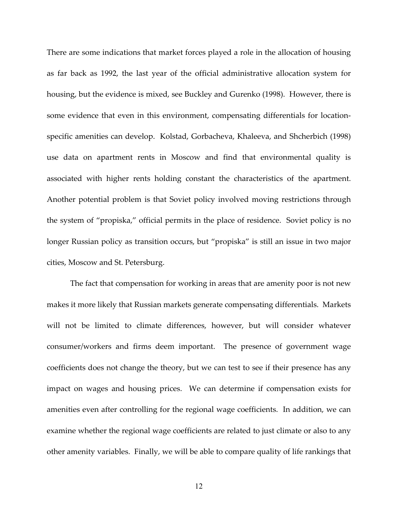There are some indications that market forces played a role in the allocation of housing as far back as 1992, the last year of the official administrative allocation system for housing, but the evidence is mixed, see Buckley and Gurenko (1998). However, there is some evidence that even in this environment, compensating differentials for locationspecific amenities can develop. Kolstad, Gorbacheva, Khaleeva, and Shcherbich (1998) use data on apartment rents in Moscow and find that environmental quality is associated with higher rents holding constant the characteristics of the apartment. Another potential problem is that Soviet policy involved moving restrictions through the system of "propiska," official permits in the place of residence. Soviet policy is no longer Russian policy as transition occurs, but "propiska" is still an issue in two major cities, Moscow and St. Petersburg.

The fact that compensation for working in areas that are amenity poor is not new makes it more likely that Russian markets generate compensating differentials. Markets will not be limited to climate differences, however, but will consider whatever consumer/workers and firms deem important. The presence of government wage coefficients does not change the theory, but we can test to see if their presence has any impact on wages and housing prices. We can determine if compensation exists for amenities even after controlling for the regional wage coefficients. In addition, we can examine whether the regional wage coefficients are related to just climate or also to any other amenity variables. Finally, we will be able to compare quality of life rankings that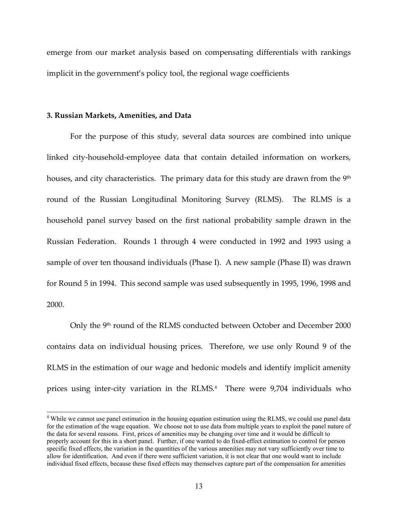emerge from our market analysis based on compensating differentials with rankings implicit in the government's policy tool, the regional wage coefficients

#### **3. Russian Markets, Amenities, and Data**

 $\overline{a}$ 

For the purpose of this study, several data sources are combined into unique linked city-household-employee data that contain detailed information on workers, houses, and city characteristics. The primary data for this study are drawn from the 9<sup>th</sup> round of the Russian Longitudinal Monitoring Survey (RLMS). The RLMS is a household panel survey based on the first national probability sample drawn in the Russian Federation. Rounds 1 through 4 were conducted in 1992 and 1993 using a sample of over ten thousand individuals (Phase I). A new sample (Phase II) was drawn for Round 5 in 1994. This second sample was used subsequently in 1995, 1996, 1998 and 2000.

Only the 9th round of the RLMS conducted between October and December 2000 contains data on individual housing prices. Therefore, we use only Round 9 of the RLMS in the estimation of our wage and hedonic models and identify implicit amenity prices using inter-city variation in the RLMS.<sup>4</sup> There were 9,704 individuals who

<sup>&</sup>lt;sup>4</sup> While we cannot use panel estimation in the housing equation estimation using the RLMS, we could use panel data for the estimation of the wage equation. We choose not to use data from multiple years to exploit the panel nature of the data for several reasons. First, prices of amenities may be changing over time and it would be difficult to properly account for this in a short panel. Further, if one wanted to do fixed-effect estimation to control for person specific fixed effects, the variation in the quantities of the various amenities may not vary sufficiently over time to allow for identification. And even if there were sufficient variation, it is not clear that one would want to include individual fixed effects, because these fixed effects may themselves capture part of the compensation for amenities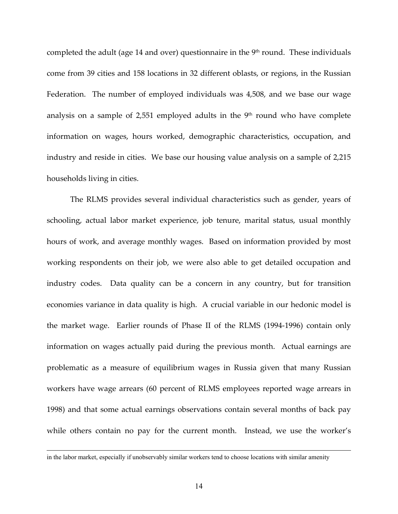completed the adult (age 14 and over) questionnaire in the  $9<sup>th</sup>$  round. These individuals come from 39 cities and 158 locations in 32 different oblasts, or regions, in the Russian Federation. The number of employed individuals was 4,508, and we base our wage analysis on a sample of 2,551 employed adults in the  $9<sup>th</sup>$  round who have complete information on wages, hours worked, demographic characteristics, occupation, and industry and reside in cities. We base our housing value analysis on a sample of 2,215 households living in cities.

The RLMS provides several individual characteristics such as gender, years of schooling, actual labor market experience, job tenure, marital status, usual monthly hours of work, and average monthly wages. Based on information provided by most working respondents on their job, we were also able to get detailed occupation and industry codes. Data quality can be a concern in any country, but for transition economies variance in data quality is high. A crucial variable in our hedonic model is the market wage. Earlier rounds of Phase II of the RLMS (1994-1996) contain only information on wages actually paid during the previous month. Actual earnings are problematic as a measure of equilibrium wages in Russia given that many Russian workers have wage arrears (60 percent of RLMS employees reported wage arrears in 1998) and that some actual earnings observations contain several months of back pay while others contain no pay for the current month. Instead, we use the worker's

in the labor market, especially if unobservably similar workers tend to choose locations with similar amenity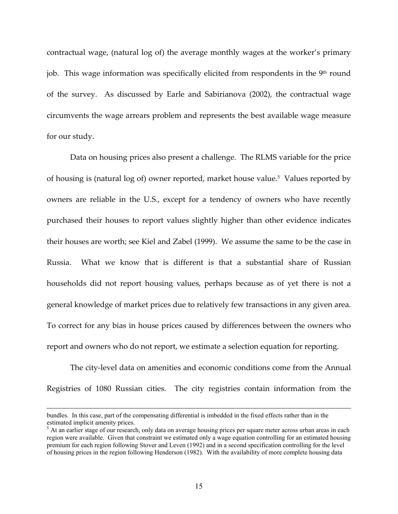contractual wage, (natural log of) the average monthly wages at the worker's primary job. This wage information was specifically elicited from respondents in the  $9<sup>th</sup>$  round of the survey. As discussed by Earle and Sabirianova (2002), the contractual wage circumvents the wage arrears problem and represents the best available wage measure for our study.

 Data on housing prices also present a challenge. The RLMS variable for the price of housing is (natural log of) owner reported, market house value.<sup>5</sup> Values reported by owners are reliable in the U.S., except for a tendency of owners who have recently purchased their houses to report values slightly higher than other evidence indicates their houses are worth; see Kiel and Zabel (1999). We assume the same to be the case in Russia. What we know that is different is that a substantial share of Russian households did not report housing values, perhaps because as of yet there is not a general knowledge of market prices due to relatively few transactions in any given area. To correct for any bias in house prices caused by differences between the owners who report and owners who do not report, we estimate a selection equation for reporting.

The city-level data on amenities and economic conditions come from the Annual Registries of 1080 Russian cities. The city registries contain information from the

bundles. In this case, part of the compensating differential is imbedded in the fixed effects rather than in the estimated implicit amenity prices.

<sup>&</sup>lt;sup>5</sup> At an earlier stage of our research, only data on average housing prices per square meter across urban areas in each region were available. Given that constraint we estimated only a wage equation controlling for an estimated housing premium for each region following Stover and Leven (1992) and in a second specification controlling for the level of housing prices in the region following Henderson (1982). With the availability of more complete housing data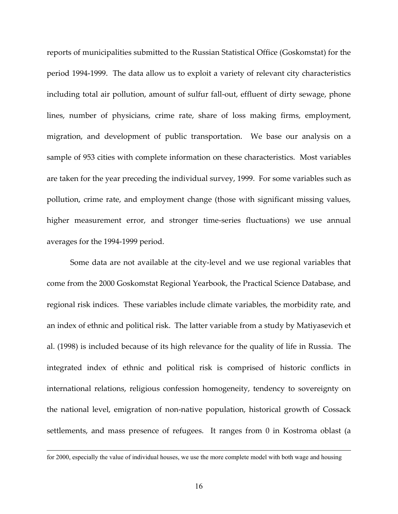reports of municipalities submitted to the Russian Statistical Office (Goskomstat) for the period 1994-1999. The data allow us to exploit a variety of relevant city characteristics including total air pollution, amount of sulfur fall-out, effluent of dirty sewage, phone lines, number of physicians, crime rate, share of loss making firms, employment, migration, and development of public transportation. We base our analysis on a sample of 953 cities with complete information on these characteristics. Most variables are taken for the year preceding the individual survey, 1999. For some variables such as pollution, crime rate, and employment change (those with significant missing values, higher measurement error, and stronger time-series fluctuations) we use annual averages for the 1994-1999 period.

Some data are not available at the city-level and we use regional variables that come from the 2000 Goskomstat Regional Yearbook, the Practical Science Database, and regional risk indices. These variables include climate variables, the morbidity rate, and an index of ethnic and political risk. The latter variable from a study by Matiyasevich et al. (1998) is included because of its high relevance for the quality of life in Russia. The integrated index of ethnic and political risk is comprised of historic conflicts in international relations, religious confession homogeneity, tendency to sovereignty on the national level, emigration of non-native population, historical growth of Cossack settlements, and mass presence of refugees. It ranges from 0 in Kostroma oblast (a

for 2000, especially the value of individual houses, we use the more complete model with both wage and housing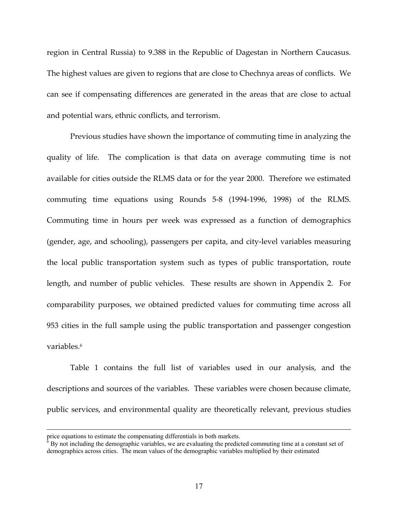region in Central Russia) to 9.388 in the Republic of Dagestan in Northern Caucasus. The highest values are given to regions that are close to Chechnya areas of conflicts. We can see if compensating differences are generated in the areas that are close to actual and potential wars, ethnic conflicts, and terrorism.

Previous studies have shown the importance of commuting time in analyzing the quality of life. The complication is that data on average commuting time is not available for cities outside the RLMS data or for the year 2000. Therefore we estimated commuting time equations using Rounds 5-8 (1994-1996, 1998) of the RLMS. Commuting time in hours per week was expressed as a function of demographics (gender, age, and schooling), passengers per capita, and city-level variables measuring the local public transportation system such as types of public transportation, route length, and number of public vehicles. These results are shown in Appendix 2. For comparability purposes, we obtained predicted values for commuting time across all 953 cities in the full sample using the public transportation and passenger congestion variables.<sup>6</sup>

Table 1 contains the full list of variables used in our analysis, and the descriptions and sources of the variables. These variables were chosen because climate, public services, and environmental quality are theoretically relevant, previous studies

price equations to estimate the compensating differentials in both markets.<br><sup>6</sup> By not including the demographic variables, we are evaluating the predicted commuting time at a constant set of demographics across cities. The mean values of the demographic variables multiplied by their estimated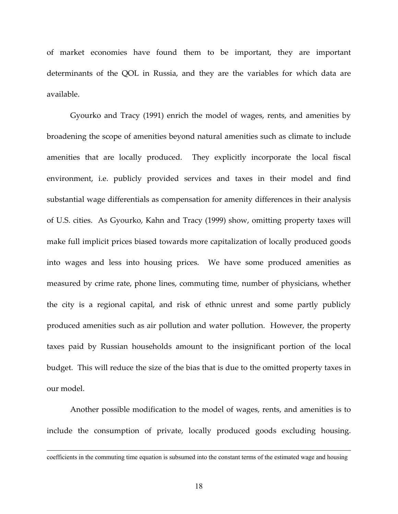of market economies have found them to be important, they are important determinants of the QOL in Russia, and they are the variables for which data are available.

Gyourko and Tracy (1991) enrich the model of wages, rents, and amenities by broadening the scope of amenities beyond natural amenities such as climate to include amenities that are locally produced. They explicitly incorporate the local fiscal environment, i.e. publicly provided services and taxes in their model and find substantial wage differentials as compensation for amenity differences in their analysis of U.S. cities. As Gyourko, Kahn and Tracy (1999) show, omitting property taxes will make full implicit prices biased towards more capitalization of locally produced goods into wages and less into housing prices. We have some produced amenities as measured by crime rate, phone lines, commuting time, number of physicians, whether the city is a regional capital, and risk of ethnic unrest and some partly publicly produced amenities such as air pollution and water pollution. However, the property taxes paid by Russian households amount to the insignificant portion of the local budget. This will reduce the size of the bias that is due to the omitted property taxes in our model.

Another possible modification to the model of wages, rents, and amenities is to include the consumption of private, locally produced goods excluding housing.

coefficients in the commuting time equation is subsumed into the constant terms of the estimated wage and housing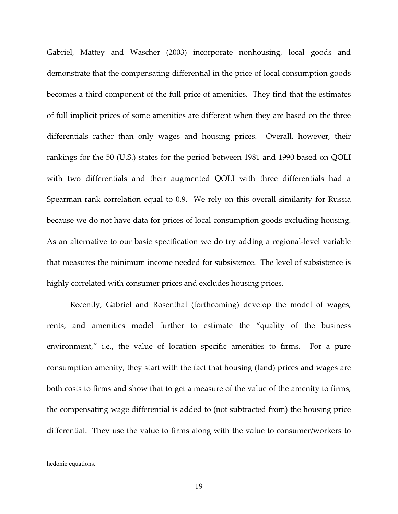Gabriel, Mattey and Wascher (2003) incorporate nonhousing, local goods and demonstrate that the compensating differential in the price of local consumption goods becomes a third component of the full price of amenities. They find that the estimates of full implicit prices of some amenities are different when they are based on the three differentials rather than only wages and housing prices. Overall, however, their rankings for the 50 (U.S.) states for the period between 1981 and 1990 based on QOLI with two differentials and their augmented QOLI with three differentials had a Spearman rank correlation equal to 0.9. We rely on this overall similarity for Russia because we do not have data for prices of local consumption goods excluding housing. As an alternative to our basic specification we do try adding a regional-level variable that measures the minimum income needed for subsistence. The level of subsistence is highly correlated with consumer prices and excludes housing prices.

Recently, Gabriel and Rosenthal (forthcoming) develop the model of wages, rents, and amenities model further to estimate the "quality of the business environment," i.e., the value of location specific amenities to firms. For a pure consumption amenity, they start with the fact that housing (land) prices and wages are both costs to firms and show that to get a measure of the value of the amenity to firms, the compensating wage differential is added to (not subtracted from) the housing price differential. They use the value to firms along with the value to consumer/workers to

hedonic equations.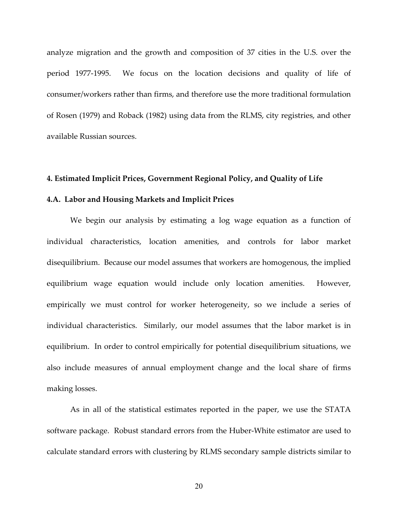analyze migration and the growth and composition of 37 cities in the U.S. over the period 1977-1995. We focus on the location decisions and quality of life of consumer/workers rather than firms, and therefore use the more traditional formulation of Rosen (1979) and Roback (1982) using data from the RLMS, city registries, and other available Russian sources.

#### **4. Estimated Implicit Prices, Government Regional Policy, and Quality of Life**

#### **4.A. Labor and Housing Markets and Implicit Prices**

 We begin our analysis by estimating a log wage equation as a function of individual characteristics, location amenities, and controls for labor market disequilibrium. Because our model assumes that workers are homogenous, the implied equilibrium wage equation would include only location amenities. However, empirically we must control for worker heterogeneity, so we include a series of individual characteristics. Similarly, our model assumes that the labor market is in equilibrium. In order to control empirically for potential disequilibrium situations, we also include measures of annual employment change and the local share of firms making losses.

As in all of the statistical estimates reported in the paper, we use the STATA software package. Robust standard errors from the Huber-White estimator are used to calculate standard errors with clustering by RLMS secondary sample districts similar to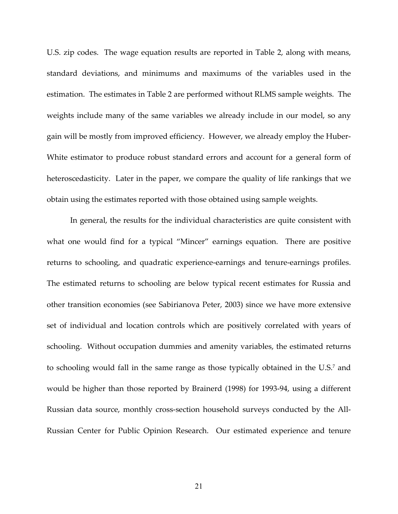U.S. zip codes. The wage equation results are reported in Table 2, along with means, standard deviations, and minimums and maximums of the variables used in the estimation. The estimates in Table 2 are performed without RLMS sample weights. The weights include many of the same variables we already include in our model, so any gain will be mostly from improved efficiency. However, we already employ the Huber-White estimator to produce robust standard errors and account for a general form of heteroscedasticity. Later in the paper, we compare the quality of life rankings that we obtain using the estimates reported with those obtained using sample weights.

In general, the results for the individual characteristics are quite consistent with what one would find for a typical "Mincer" earnings equation. There are positive returns to schooling, and quadratic experience-earnings and tenure-earnings profiles. The estimated returns to schooling are below typical recent estimates for Russia and other transition economies (see Sabirianova Peter, 2003) since we have more extensive set of individual and location controls which are positively correlated with years of schooling. Without occupation dummies and amenity variables, the estimated returns to schooling would fall in the same range as those typically obtained in the U.S.7 and would be higher than those reported by Brainerd (1998) for 1993-94, using a different Russian data source, monthly cross-section household surveys conducted by the All-Russian Center for Public Opinion Research. Our estimated experience and tenure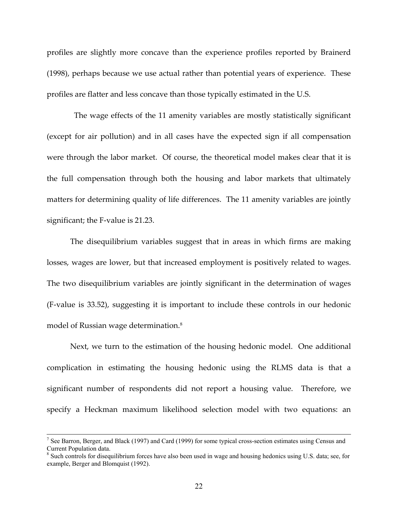profiles are slightly more concave than the experience profiles reported by Brainerd (1998), perhaps because we use actual rather than potential years of experience. These profiles are flatter and less concave than those typically estimated in the U.S.

 The wage effects of the 11 amenity variables are mostly statistically significant (except for air pollution) and in all cases have the expected sign if all compensation were through the labor market. Of course, the theoretical model makes clear that it is the full compensation through both the housing and labor markets that ultimately matters for determining quality of life differences. The 11 amenity variables are jointly significant; the F-value is 21.23.

 The disequilibrium variables suggest that in areas in which firms are making losses, wages are lower, but that increased employment is positively related to wages. The two disequilibrium variables are jointly significant in the determination of wages (F-value is 33.52), suggesting it is important to include these controls in our hedonic model of Russian wage determination.8

 Next, we turn to the estimation of the housing hedonic model. One additional complication in estimating the housing hedonic using the RLMS data is that a significant number of respondents did not report a housing value. Therefore, we specify a Heckman maximum likelihood selection model with two equations: an

<sup>7</sup> <sup>7</sup> See Barron, Berger, and Black (1997) and Card (1999) for some typical cross-section estimates using Census and Current Population data.

<sup>&</sup>lt;sup>8</sup> Such controls for disequilibrium forces have also been used in wage and housing hedonics using U.S. data; see, for example, Berger and Blomquist (1992).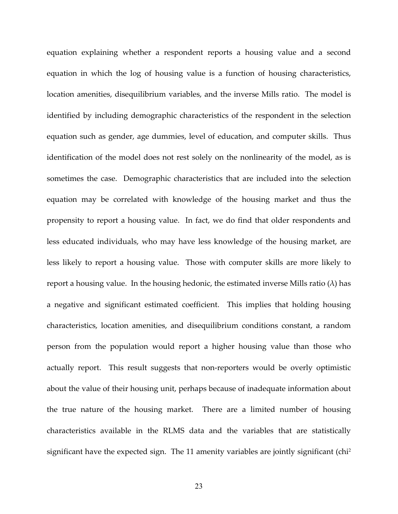equation explaining whether a respondent reports a housing value and a second equation in which the log of housing value is a function of housing characteristics, location amenities, disequilibrium variables, and the inverse Mills ratio. The model is identified by including demographic characteristics of the respondent in the selection equation such as gender, age dummies, level of education, and computer skills. Thus identification of the model does not rest solely on the nonlinearity of the model, as is sometimes the case. Demographic characteristics that are included into the selection equation may be correlated with knowledge of the housing market and thus the propensity to report a housing value. In fact, we do find that older respondents and less educated individuals, who may have less knowledge of the housing market, are less likely to report a housing value. Those with computer skills are more likely to report a housing value. In the housing hedonic, the estimated inverse Mills ratio  $(\lambda)$  has a negative and significant estimated coefficient. This implies that holding housing characteristics, location amenities, and disequilibrium conditions constant, a random person from the population would report a higher housing value than those who actually report. This result suggests that non-reporters would be overly optimistic about the value of their housing unit, perhaps because of inadequate information about the true nature of the housing market. There are a limited number of housing characteristics available in the RLMS data and the variables that are statistically significant have the expected sign. The 11 amenity variables are jointly significant (chi<sup>2</sup>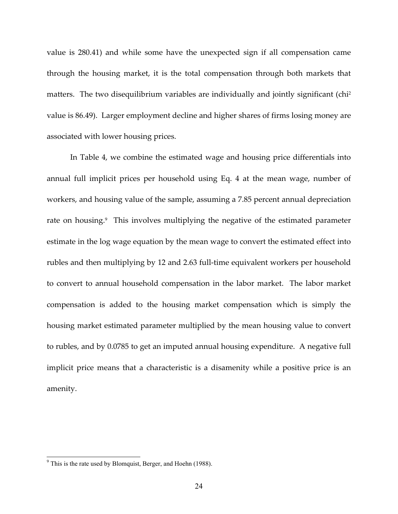value is 280.41) and while some have the unexpected sign if all compensation came through the housing market, it is the total compensation through both markets that matters. The two disequilibrium variables are individually and jointly significant (chi<sup>2</sup>) value is 86.49). Larger employment decline and higher shares of firms losing money are associated with lower housing prices.

 In Table 4, we combine the estimated wage and housing price differentials into annual full implicit prices per household using Eq. 4 at the mean wage, number of workers, and housing value of the sample, assuming a 7.85 percent annual depreciation rate on housing.<sup>9</sup> This involves multiplying the negative of the estimated parameter estimate in the log wage equation by the mean wage to convert the estimated effect into rubles and then multiplying by 12 and 2.63 full-time equivalent workers per household to convert to annual household compensation in the labor market. The labor market compensation is added to the housing market compensation which is simply the housing market estimated parameter multiplied by the mean housing value to convert to rubles, and by 0.0785 to get an imputed annual housing expenditure. A negative full implicit price means that a characteristic is a disamenity while a positive price is an amenity.

<sup>&</sup>lt;sup>9</sup> This is the rate used by Blomquist, Berger, and Hoehn (1988).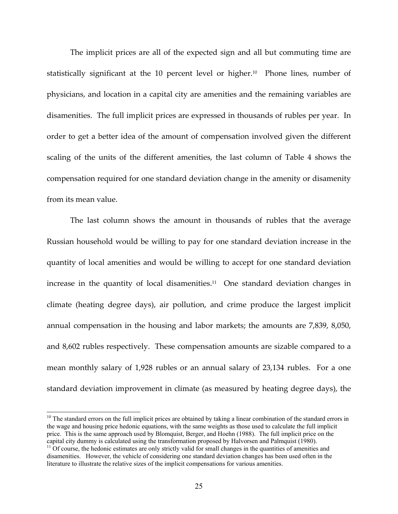The implicit prices are all of the expected sign and all but commuting time are statistically significant at the 10 percent level or higher.10 Phone lines, number of physicians, and location in a capital city are amenities and the remaining variables are disamenities. The full implicit prices are expressed in thousands of rubles per year. In order to get a better idea of the amount of compensation involved given the different scaling of the units of the different amenities, the last column of Table 4 shows the compensation required for one standard deviation change in the amenity or disamenity from its mean value.

The last column shows the amount in thousands of rubles that the average Russian household would be willing to pay for one standard deviation increase in the quantity of local amenities and would be willing to accept for one standard deviation increase in the quantity of local disamenities.<sup>11</sup> One standard deviation changes in climate (heating degree days), air pollution, and crime produce the largest implicit annual compensation in the housing and labor markets; the amounts are 7,839, 8,050, and 8,602 rubles respectively. These compensation amounts are sizable compared to a mean monthly salary of 1,928 rubles or an annual salary of 23,134 rubles. For a one standard deviation improvement in climate (as measured by heating degree days), the

 $10$  The standard errors on the full implicit prices are obtained by taking a linear combination of the standard errors in the wage and housing price hedonic equations, with the same weights as those used to calculate the full implicit price. This is the same approach used by Blomquist, Berger, and Hoehn (1988). The full implicit price on the capital city dummy is calculated using the transformation proposed by Halvorsen and Palmquist (1980). <sup>11</sup> Of course, the hedonic estimates are only strictly valid for small changes in the quantities of amenities and

disamenities. However, the vehicle of considering one standard deviation changes has been used often in the literature to illustrate the relative sizes of the implicit compensations for various amenities.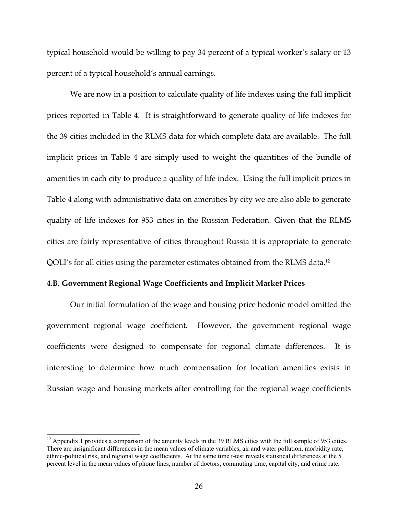typical household would be willing to pay 34 percent of a typical worker's salary or 13 percent of a typical household's annual earnings.

 We are now in a position to calculate quality of life indexes using the full implicit prices reported in Table 4. It is straightforward to generate quality of life indexes for the 39 cities included in the RLMS data for which complete data are available. The full implicit prices in Table 4 are simply used to weight the quantities of the bundle of amenities in each city to produce a quality of life index. Using the full implicit prices in Table 4 along with administrative data on amenities by city we are also able to generate quality of life indexes for 953 cities in the Russian Federation. Given that the RLMS cities are fairly representative of cities throughout Russia it is appropriate to generate QOLI's for all cities using the parameter estimates obtained from the RLMS data.12

#### **4.B. Government Regional Wage Coefficients and Implicit Market Prices**

 Our initial formulation of the wage and housing price hedonic model omitted the government regional wage coefficient. However, the government regional wage coefficients were designed to compensate for regional climate differences. It is interesting to determine how much compensation for location amenities exists in Russian wage and housing markets after controlling for the regional wage coefficients

 $12$  Appendix 1 provides a comparison of the amenity levels in the 39 RLMS cities with the full sample of 953 cities. There are insignificant differences in the mean values of climate variables, air and water pollution, morbidity rate, ethnic-political risk, and regional wage coefficients. At the same time t-test reveals statistical differences at the 5 percent level in the mean values of phone lines, number of doctors, commuting time, capital city, and crime rate.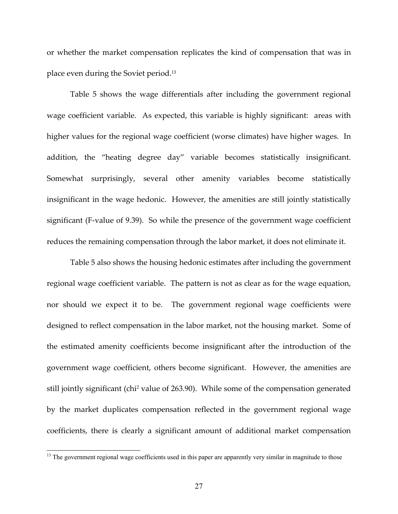or whether the market compensation replicates the kind of compensation that was in place even during the Soviet period.13

 Table 5 shows the wage differentials after including the government regional wage coefficient variable. As expected, this variable is highly significant: areas with higher values for the regional wage coefficient (worse climates) have higher wages. In addition, the "heating degree day" variable becomes statistically insignificant. Somewhat surprisingly, several other amenity variables become statistically insignificant in the wage hedonic. However, the amenities are still jointly statistically significant (F-value of 9.39). So while the presence of the government wage coefficient reduces the remaining compensation through the labor market, it does not eliminate it.

 Table 5 also shows the housing hedonic estimates after including the government regional wage coefficient variable. The pattern is not as clear as for the wage equation, nor should we expect it to be. The government regional wage coefficients were designed to reflect compensation in the labor market, not the housing market. Some of the estimated amenity coefficients become insignificant after the introduction of the government wage coefficient, others become significant. However, the amenities are still jointly significant (chi2 value of 263.90). While some of the compensation generated by the market duplicates compensation reflected in the government regional wage coefficients, there is clearly a significant amount of additional market compensation

<sup>&</sup>lt;sup>13</sup> The government regional wage coefficients used in this paper are apparently very similar in magnitude to those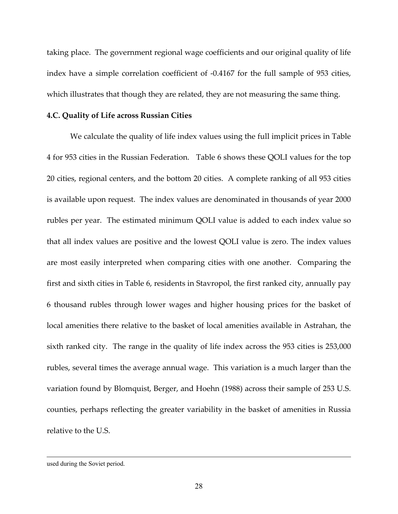taking place. The government regional wage coefficients and our original quality of life index have a simple correlation coefficient of -0.4167 for the full sample of 953 cities, which illustrates that though they are related, they are not measuring the same thing.

#### **4.C. Quality of Life across Russian Cities**

We calculate the quality of life index values using the full implicit prices in Table 4 for 953 cities in the Russian Federation. Table 6 shows these QOLI values for the top 20 cities, regional centers, and the bottom 20 cities. A complete ranking of all 953 cities is available upon request. The index values are denominated in thousands of year 2000 rubles per year. The estimated minimum QOLI value is added to each index value so that all index values are positive and the lowest QOLI value is zero. The index values are most easily interpreted when comparing cities with one another. Comparing the first and sixth cities in Table 6, residents in Stavropol, the first ranked city, annually pay 6 thousand rubles through lower wages and higher housing prices for the basket of local amenities there relative to the basket of local amenities available in Astrahan, the sixth ranked city. The range in the quality of life index across the 953 cities is 253,000 rubles, several times the average annual wage. This variation is a much larger than the variation found by Blomquist, Berger, and Hoehn (1988) across their sample of 253 U.S. counties, perhaps reflecting the greater variability in the basket of amenities in Russia relative to the U.S.

used during the Soviet period.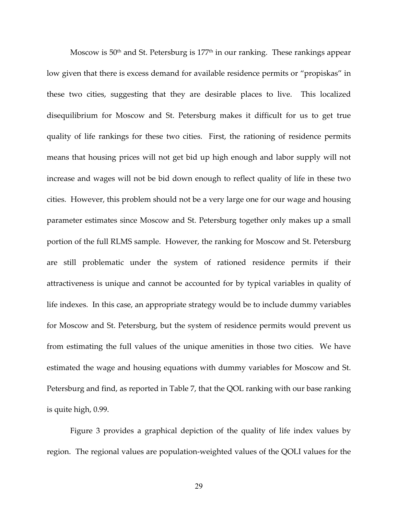Moscow is  $50<sup>th</sup>$  and St. Petersburg is  $177<sup>th</sup>$  in our ranking. These rankings appear low given that there is excess demand for available residence permits or "propiskas" in these two cities, suggesting that they are desirable places to live. This localized disequilibrium for Moscow and St. Petersburg makes it difficult for us to get true quality of life rankings for these two cities. First, the rationing of residence permits means that housing prices will not get bid up high enough and labor supply will not increase and wages will not be bid down enough to reflect quality of life in these two cities. However, this problem should not be a very large one for our wage and housing parameter estimates since Moscow and St. Petersburg together only makes up a small portion of the full RLMS sample. However, the ranking for Moscow and St. Petersburg are still problematic under the system of rationed residence permits if their attractiveness is unique and cannot be accounted for by typical variables in quality of life indexes. In this case, an appropriate strategy would be to include dummy variables for Moscow and St. Petersburg, but the system of residence permits would prevent us from estimating the full values of the unique amenities in those two cities. We have estimated the wage and housing equations with dummy variables for Moscow and St. Petersburg and find, as reported in Table 7, that the QOL ranking with our base ranking is quite high, 0.99.

 Figure 3 provides a graphical depiction of the quality of life index values by region. The regional values are population-weighted values of the QOLI values for the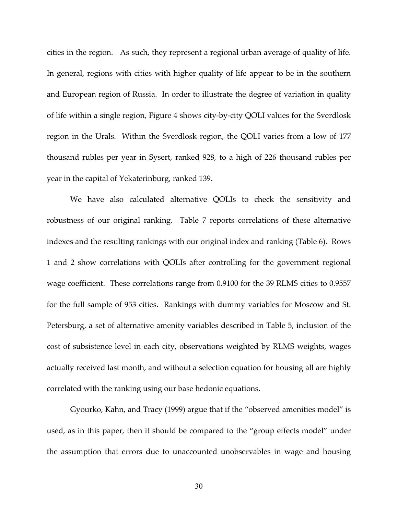cities in the region. As such, they represent a regional urban average of quality of life. In general, regions with cities with higher quality of life appear to be in the southern and European region of Russia. In order to illustrate the degree of variation in quality of life within a single region, Figure 4 shows city-by-city QOLI values for the Sverdlosk region in the Urals. Within the Sverdlosk region, the QOLI varies from a low of 177 thousand rubles per year in Sysert, ranked 928, to a high of 226 thousand rubles per year in the capital of Yekaterinburg, ranked 139.

 We have also calculated alternative QOLIs to check the sensitivity and robustness of our original ranking. Table 7 reports correlations of these alternative indexes and the resulting rankings with our original index and ranking (Table 6). Rows 1 and 2 show correlations with QOLIs after controlling for the government regional wage coefficient. These correlations range from 0.9100 for the 39 RLMS cities to 0.9557 for the full sample of 953 cities. Rankings with dummy variables for Moscow and St. Petersburg, a set of alternative amenity variables described in Table 5, inclusion of the cost of subsistence level in each city, observations weighted by RLMS weights, wages actually received last month, and without a selection equation for housing all are highly correlated with the ranking using our base hedonic equations.

Gyourko, Kahn, and Tracy (1999) argue that if the "observed amenities model" is used, as in this paper, then it should be compared to the "group effects model" under the assumption that errors due to unaccounted unobservables in wage and housing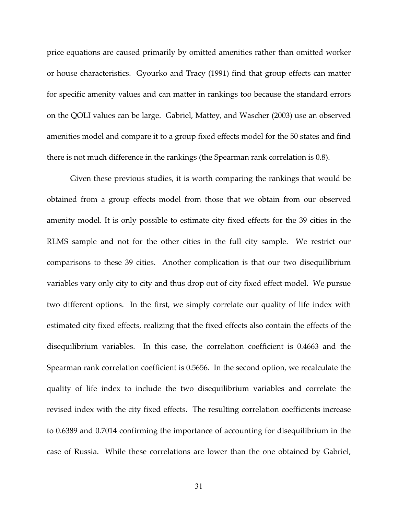price equations are caused primarily by omitted amenities rather than omitted worker or house characteristics. Gyourko and Tracy (1991) find that group effects can matter for specific amenity values and can matter in rankings too because the standard errors on the QOLI values can be large. Gabriel, Mattey, and Wascher (2003) use an observed amenities model and compare it to a group fixed effects model for the 50 states and find there is not much difference in the rankings (the Spearman rank correlation is 0.8).

 Given these previous studies, it is worth comparing the rankings that would be obtained from a group effects model from those that we obtain from our observed amenity model. It is only possible to estimate city fixed effects for the 39 cities in the RLMS sample and not for the other cities in the full city sample. We restrict our comparisons to these 39 cities. Another complication is that our two disequilibrium variables vary only city to city and thus drop out of city fixed effect model. We pursue two different options. In the first, we simply correlate our quality of life index with estimated city fixed effects, realizing that the fixed effects also contain the effects of the disequilibrium variables. In this case, the correlation coefficient is 0.4663 and the Spearman rank correlation coefficient is 0.5656. In the second option, we recalculate the quality of life index to include the two disequilibrium variables and correlate the revised index with the city fixed effects. The resulting correlation coefficients increase to 0.6389 and 0.7014 confirming the importance of accounting for disequilibrium in the case of Russia. While these correlations are lower than the one obtained by Gabriel,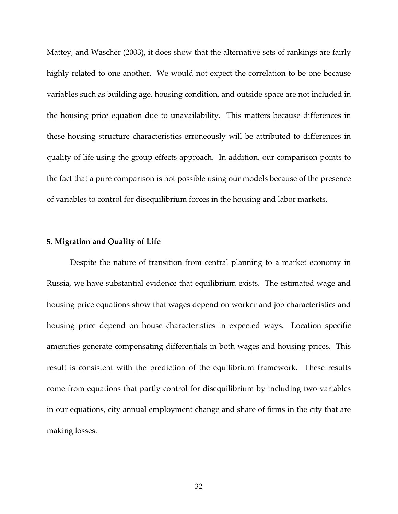Mattey, and Wascher (2003), it does show that the alternative sets of rankings are fairly highly related to one another. We would not expect the correlation to be one because variables such as building age, housing condition, and outside space are not included in the housing price equation due to unavailability. This matters because differences in these housing structure characteristics erroneously will be attributed to differences in quality of life using the group effects approach. In addition, our comparison points to the fact that a pure comparison is not possible using our models because of the presence of variables to control for disequilibrium forces in the housing and labor markets.

#### **5. Migration and Quality of Life**

 Despite the nature of transition from central planning to a market economy in Russia, we have substantial evidence that equilibrium exists. The estimated wage and housing price equations show that wages depend on worker and job characteristics and housing price depend on house characteristics in expected ways. Location specific amenities generate compensating differentials in both wages and housing prices. This result is consistent with the prediction of the equilibrium framework. These results come from equations that partly control for disequilibrium by including two variables in our equations, city annual employment change and share of firms in the city that are making losses.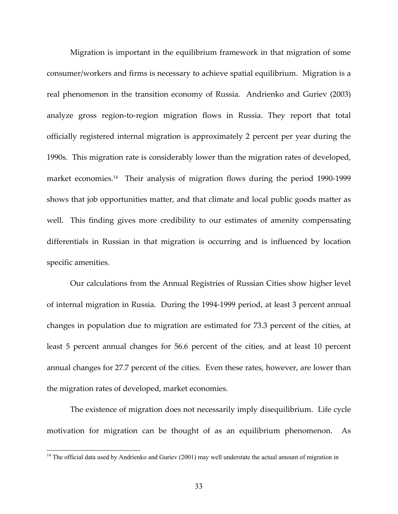Migration is important in the equilibrium framework in that migration of some consumer/workers and firms is necessary to achieve spatial equilibrium. Migration is a real phenomenon in the transition economy of Russia. Andrienko and Guriev (2003) analyze gross region-to-region migration flows in Russia. They report that total officially registered internal migration is approximately 2 percent per year during the 1990s. This migration rate is considerably lower than the migration rates of developed, market economies.<sup>14</sup> Their analysis of migration flows during the period 1990-1999 shows that job opportunities matter, and that climate and local public goods matter as well. This finding gives more credibility to our estimates of amenity compensating differentials in Russian in that migration is occurring and is influenced by location specific amenities.

Our calculations from the Annual Registries of Russian Cities show higher level of internal migration in Russia. During the 1994-1999 period, at least 3 percent annual changes in population due to migration are estimated for 73.3 percent of the cities, at least 5 percent annual changes for 56.6 percent of the cities, and at least 10 percent annual changes for 27.7 percent of the cities. Even these rates, however, are lower than the migration rates of developed, market economies.

 The existence of migration does not necessarily imply disequilibrium. Life cycle motivation for migration can be thought of as an equilibrium phenomenon. As

<sup>&</sup>lt;sup>14</sup> The official data used by Andrienko and Guriev (2001) may well understate the actual amount of migration in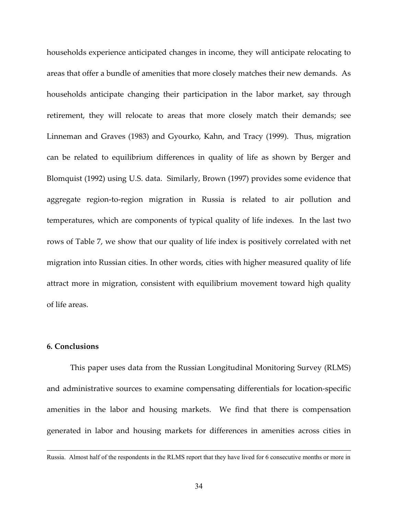households experience anticipated changes in income, they will anticipate relocating to areas that offer a bundle of amenities that more closely matches their new demands. As households anticipate changing their participation in the labor market, say through retirement, they will relocate to areas that more closely match their demands; see Linneman and Graves (1983) and Gyourko, Kahn, and Tracy (1999). Thus, migration can be related to equilibrium differences in quality of life as shown by Berger and Blomquist (1992) using U.S. data. Similarly, Brown (1997) provides some evidence that aggregate region-to-region migration in Russia is related to air pollution and temperatures, which are components of typical quality of life indexes. In the last two rows of Table 7, we show that our quality of life index is positively correlated with net migration into Russian cities. In other words, cities with higher measured quality of life attract more in migration, consistent with equilibrium movement toward high quality of life areas.

#### **6. Conclusions**

 $\overline{\phantom{a}}$ 

This paper uses data from the Russian Longitudinal Monitoring Survey (RLMS) and administrative sources to examine compensating differentials for location-specific amenities in the labor and housing markets. We find that there is compensation generated in labor and housing markets for differences in amenities across cities in

Russia. Almost half of the respondents in the RLMS report that they have lived for 6 consecutive months or more in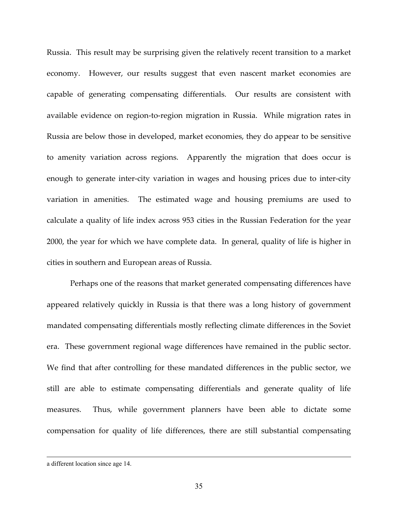Russia. This result may be surprising given the relatively recent transition to a market economy. However, our results suggest that even nascent market economies are capable of generating compensating differentials. Our results are consistent with available evidence on region-to-region migration in Russia. While migration rates in Russia are below those in developed, market economies, they do appear to be sensitive to amenity variation across regions. Apparently the migration that does occur is enough to generate inter-city variation in wages and housing prices due to inter-city variation in amenities. The estimated wage and housing premiums are used to calculate a quality of life index across 953 cities in the Russian Federation for the year 2000, the year for which we have complete data. In general, quality of life is higher in cities in southern and European areas of Russia.

Perhaps one of the reasons that market generated compensating differences have appeared relatively quickly in Russia is that there was a long history of government mandated compensating differentials mostly reflecting climate differences in the Soviet era. These government regional wage differences have remained in the public sector. We find that after controlling for these mandated differences in the public sector, we still are able to estimate compensating differentials and generate quality of life measures. Thus, while government planners have been able to dictate some compensation for quality of life differences, there are still substantial compensating

a different location since age 14.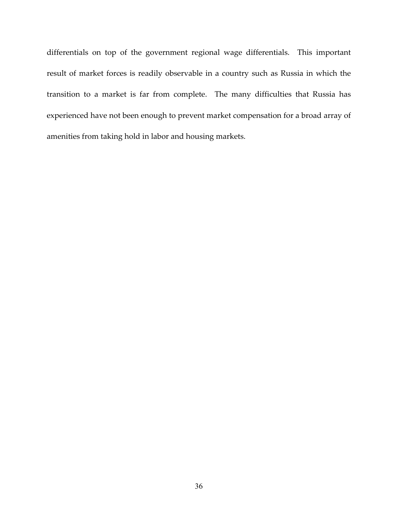differentials on top of the government regional wage differentials. This important result of market forces is readily observable in a country such as Russia in which the transition to a market is far from complete. The many difficulties that Russia has experienced have not been enough to prevent market compensation for a broad array of amenities from taking hold in labor and housing markets.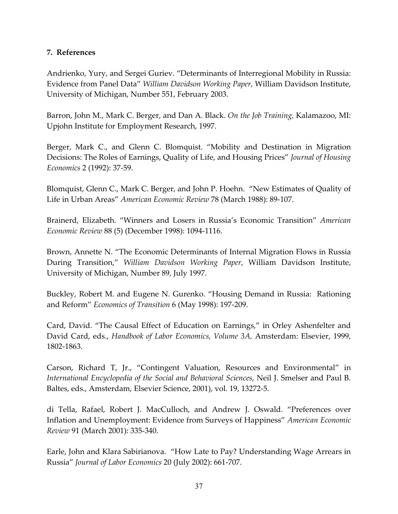#### **7. References**

Andrienko, Yury, and Sergei Guriev. "Determinants of Interregional Mobility in Russia: Evidence from Panel Data" *William Davidson Working Paper,* William Davidson Institute, University of Michigan, Number 551, February 2003.

Barron, John M., Mark C. Berger, and Dan A. Black. *On the Job Training,* Kalamazoo, MI: Upjohn Institute for Employment Research, 1997.

Berger, Mark C., and Glenn C. Blomquist. "Mobility and Destination in Migration Decisions: The Roles of Earnings, Quality of Life, and Housing Prices" *Journal of Housing Economics* 2 (1992): 37-59.

Blomquist, Glenn C., Mark C. Berger, and John P. Hoehn. "New Estimates of Quality of Life in Urban Areas" *American Economic Review* 78 (March 1988): 89-107.

Brainerd, Elizabeth. "Winners and Losers in Russia's Economic Transition" *American Economic Review* 88 (5) (December 1998): 1094-1116.

Brown, Annette N. "The Economic Determinants of Internal Migration Flows in Russia During Transition," *William Davidson Working Paper*, William Davidson Institute, University of Michigan, Number 89, July 1997.

Buckley, Robert M. and Eugene N. Gurenko. "Housing Demand in Russia: Rationing and Reform" *Economics of Transition* 6 (May 1998): 197-209.

Card, David. "The Causal Effect of Education on Earnings," in Orley Ashenfelter and David Card, eds., *Handbook of Labor Economics, Volume 3A,* Amsterdam: Elsevier, 1999, 1802-1863.

Carson, Richard T, Jr., "Contingent Valuation, Resources and Environmental" in *International Encyclopedia of the Social and Behavioral Sciences*, Neil J. Smelser and Paul B. Baltes, eds., Amsterdam, Elsevier Science, 2001), vol. 19, 13272-5.

di Tella, Rafael, Robert J. MacCulloch, and Andrew J. Oswald. "Preferences over Inflation and Unemployment: Evidence from Surveys of Happiness" *American Economic Review* 91 (March 2001): 335-340.

Earle, John and Klara Sabirianova. "How Late to Pay? Understanding Wage Arrears in Russia" *Journal of Labor Economics* 20 (July 2002): 661-707.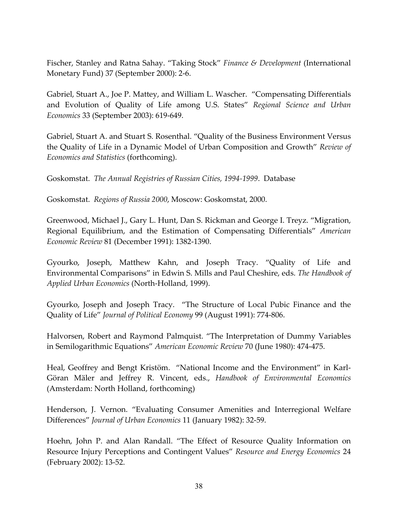Fischer, Stanley and Ratna Sahay. "Taking Stock" *Finance & Development* (International Monetary Fund) 37 (September 2000): 2-6.

Gabriel, Stuart A., Joe P. Mattey, and William L. Wascher. "Compensating Differentials and Evolution of Quality of Life among U.S. States" *Regional Science and Urban Economics* 33 (September 2003): 619-649.

Gabriel, Stuart A. and Stuart S. Rosenthal. "Quality of the Business Environment Versus the Quality of Life in a Dynamic Model of Urban Composition and Growth" *Review of Economics and Statistics* (forthcoming).

Goskomstat. *The Annual Registries of Russian Cities, 1994-1999*. Database

Goskomstat. *Regions of Russia 2000*, Moscow: Goskomstat, 2000.

Greenwood, Michael J., Gary L. Hunt, Dan S. Rickman and George I. Treyz. "Migration, Regional Equilibrium, and the Estimation of Compensating Differentials" *American Economic Review* 81 (December 1991): 1382-1390.

Gyourko, Joseph, Matthew Kahn, and Joseph Tracy. "Quality of Life and Environmental Comparisons" in Edwin S. Mills and Paul Cheshire, eds. *The Handbook of Applied Urban Economics* (North-Holland, 1999).

Gyourko, Joseph and Joseph Tracy. "The Structure of Local Pubic Finance and the Quality of Life" *Journal of Political Economy* 99 (August 1991): 774-806.

Halvorsen, Robert and Raymond Palmquist. "The Interpretation of Dummy Variables in Semilogarithmic Equations" *American Economic Review* 70 (June 1980): 474-475.

Heal, Geoffrey and Bengt Kristöm. "National Income and the Environment" in Karl-Göran Mäler and Jeffrey R. Vincent, eds., *Handbook of Environmental Economics* (Amsterdam: North Holland, forthcoming)

Henderson, J. Vernon. "Evaluating Consumer Amenities and Interregional Welfare Differences" *Journal of Urban Economics* 11 (January 1982): 32-59.

Hoehn, John P. and Alan Randall. "The Effect of Resource Quality Information on Resource Injury Perceptions and Contingent Values" *Resource and Energy Economics* 24 (February 2002): 13-52.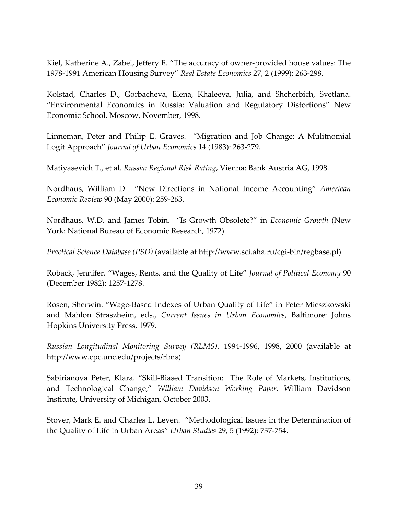Kiel, Katherine A., Zabel, Jeffery E. "The accuracy of owner-provided house values: The 1978-1991 American Housing Survey" *Real Estate Economics* 27, 2 (1999): 263-298.

Kolstad, Charles D., Gorbacheva, Elena, Khaleeva, Julia, and Shcherbich, Svetlana. "Environmental Economics in Russia: Valuation and Regulatory Distortions" New Economic School, Moscow, November, 1998.

Linneman, Peter and Philip E. Graves. "Migration and Job Change: A Mulitnomial Logit Approach" *Journal of Urban Economics* 14 (1983): 263-279.

Matiyasevich T., et al. *Russia: Regional Risk Rating*, Vienna: Bank Austria AG, 1998.

Nordhaus, William D. "New Directions in National Income Accounting" *American Economic Review* 90 (May 2000): 259-263.

Nordhaus, W.D. and James Tobin. "Is Growth Obsolete?" in *Economic Growth* (New York: National Bureau of Economic Research, 1972).

*Practical Science Database (PSD)* (available at http://www.sci.aha.ru/cgi-bin/regbase.pl)

Roback, Jennifer. "Wages, Rents, and the Quality of Life" *Journal of Political Economy* 90 (December 1982): 1257-1278.

Rosen, Sherwin. "Wage-Based Indexes of Urban Quality of Life" in Peter Mieszkowski and Mahlon Straszheim, eds., *Current Issues in Urban Economics*, Baltimore: Johns Hopkins University Press, 1979.

*Russian Longitudinal Monitoring Survey (RLMS)*, 1994-1996, 1998, 2000 (available at http://www.cpc.unc.edu/projects/rlms).

Sabirianova Peter, Klara. "Skill-Biased Transition: The Role of Markets, Institutions, and Technological Change," *William Davidson Working Paper*, William Davidson Institute, University of Michigan, October 2003.

Stover, Mark E. and Charles L. Leven. "Methodological Issues in the Determination of the Quality of Life in Urban Areas" *Urban Studies* 29, 5 (1992): 737-754.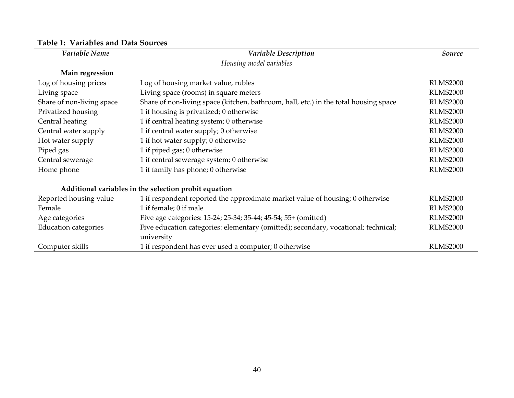| Variable Name                                                                                                     | Variable Description                                                                 | Source          |
|-------------------------------------------------------------------------------------------------------------------|--------------------------------------------------------------------------------------|-----------------|
|                                                                                                                   | Housing model variables                                                              |                 |
| Main regression                                                                                                   |                                                                                      |                 |
| Log of housing prices                                                                                             | Log of housing market value, rubles                                                  | <b>RLMS2000</b> |
| Living space                                                                                                      | Living space (rooms) in square meters                                                | <b>RLMS2000</b> |
| Share of non-living space                                                                                         | Share of non-living space (kitchen, bathroom, hall, etc.) in the total housing space | <b>RLMS2000</b> |
| Privatized housing                                                                                                | 1 if housing is privatized; 0 otherwise                                              | <b>RLMS2000</b> |
| Central heating                                                                                                   | 1 if central heating system; 0 otherwise                                             | <b>RLMS2000</b> |
| Central water supply                                                                                              | 1 if central water supply; 0 otherwise                                               | <b>RLMS2000</b> |
| Hot water supply                                                                                                  | 1 if hot water supply; 0 otherwise                                                   | <b>RLMS2000</b> |
| Piped gas                                                                                                         | 1 if piped gas; 0 otherwise                                                          | <b>RLMS2000</b> |
| Central sewerage                                                                                                  | 1 if central sewerage system; 0 otherwise                                            | <b>RLMS2000</b> |
| Home phone                                                                                                        | 1 if family has phone; 0 otherwise                                                   | <b>RLMS2000</b> |
|                                                                                                                   | Additional variables in the selection probit equation                                |                 |
| Reported housing value                                                                                            | 1 if respondent reported the approximate market value of housing; 0 otherwise        | <b>RLMS2000</b> |
| Female                                                                                                            | 1 if female; 0 if male                                                               | <b>RLMS2000</b> |
| Age categories                                                                                                    | Five age categories: 15-24; 25-34; 35-44; 45-54; 55+ (omitted)                       | <b>RLMS2000</b> |
| <b>Education categories</b><br>Five education categories: elementary (omitted); secondary, vocational; technical; |                                                                                      | <b>RLMS2000</b> |
|                                                                                                                   | university                                                                           |                 |
| Computer skills                                                                                                   | 1 if respondent has ever used a computer; 0 otherwise                                | <b>RLMS2000</b> |

#### **Table 1: Variables and Data Sources**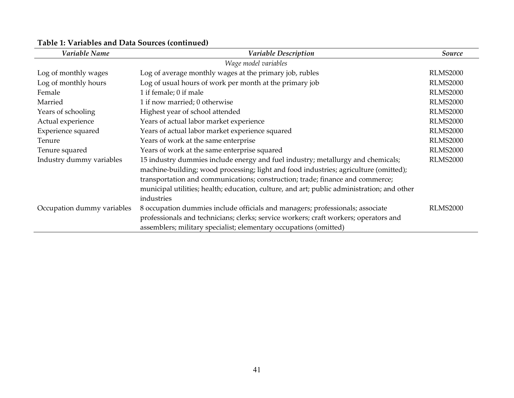| Variable Name              | <b>Variable Description</b>                                                                | Source          |
|----------------------------|--------------------------------------------------------------------------------------------|-----------------|
|                            | Wage model variables                                                                       |                 |
| Log of monthly wages       | Log of average monthly wages at the primary job, rubles                                    | <b>RLMS2000</b> |
| Log of monthly hours       | Log of usual hours of work per month at the primary job                                    | <b>RLMS2000</b> |
| Female                     | 1 if female; 0 if male                                                                     | <b>RLMS2000</b> |
| Married                    | 1 if now married; 0 otherwise                                                              | <b>RLMS2000</b> |
| Years of schooling         | Highest year of school attended                                                            | <b>RLMS2000</b> |
| Actual experience          | Years of actual labor market experience                                                    | <b>RLMS2000</b> |
| Experience squared         | Years of actual labor market experience squared                                            | <b>RLMS2000</b> |
| Tenure                     | Years of work at the same enterprise                                                       | <b>RLMS2000</b> |
| Tenure squared             | Years of work at the same enterprise squared                                               | <b>RLMS2000</b> |
| Industry dummy variables   | 15 industry dummies include energy and fuel industry; metallurgy and chemicals;            | <b>RLMS2000</b> |
|                            | machine-building; wood processing; light and food industries; agriculture (omitted);       |                 |
|                            | transportation and communications; construction; trade; finance and commerce;              |                 |
|                            | municipal utilities; health; education, culture, and art; public administration; and other |                 |
|                            | industries                                                                                 |                 |
| Occupation dummy variables | 8 occupation dummies include officials and managers; professionals; associate              | <b>RLMS2000</b> |
|                            | professionals and technicians; clerks; service workers; craft workers; operators and       |                 |
|                            | assemblers; military specialist; elementary occupations (omitted)                          |                 |

#### **Table 1: Variables and Data Sources (continued)**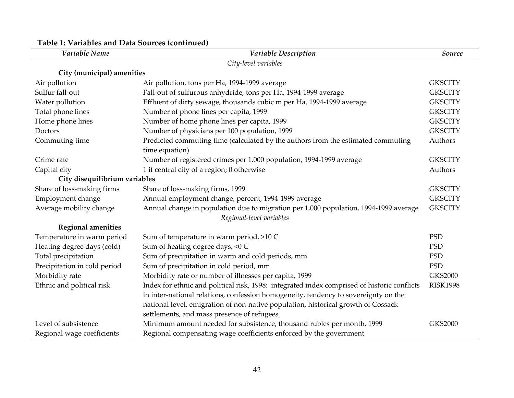| Variable Name                 | Variable Description                                                                        | Source          |
|-------------------------------|---------------------------------------------------------------------------------------------|-----------------|
|                               | City-level variables                                                                        |                 |
| City (municipal) amenities    |                                                                                             |                 |
| Air pollution                 | Air pollution, tons per Ha, 1994-1999 average                                               | <b>GKSCITY</b>  |
| Sulfur fall-out               | Fall-out of sulfurous anhydride, tons per Ha, 1994-1999 average                             | <b>GKSCITY</b>  |
| Water pollution               | Effluent of dirty sewage, thousands cubic m per Ha, 1994-1999 average                       | <b>GKSCITY</b>  |
| Total phone lines             | Number of phone lines per capita, 1999                                                      | <b>GKSCITY</b>  |
| Home phone lines              | Number of home phone lines per capita, 1999                                                 | <b>GKSCITY</b>  |
| Doctors                       | Number of physicians per 100 population, 1999                                               | <b>GKSCITY</b>  |
| Commuting time                | Predicted commuting time (calculated by the authors from the estimated commuting            | Authors         |
|                               | time equation)                                                                              |                 |
| Crime rate                    | Number of registered crimes per 1,000 population, 1994-1999 average                         | <b>GKSCITY</b>  |
| Capital city                  | 1 if central city of a region; 0 otherwise                                                  | Authors         |
| City disequilibrium variables |                                                                                             |                 |
| Share of loss-making firms    | Share of loss-making firms, 1999                                                            | <b>GKSCITY</b>  |
| Employment change             | Annual employment change, percent, 1994-1999 average                                        | <b>GKSCITY</b>  |
| Average mobility change       | Annual change in population due to migration per 1,000 population, 1994-1999 average        | <b>GKSCITY</b>  |
|                               | Regional-level variables                                                                    |                 |
| <b>Regional amenities</b>     |                                                                                             |                 |
| Temperature in warm period    | Sum of temperature in warm period, >10 C                                                    | <b>PSD</b>      |
| Heating degree days (cold)    | Sum of heating degree days, <0 C                                                            | <b>PSD</b>      |
| Total precipitation           | Sum of precipitation in warm and cold periods, mm                                           | <b>PSD</b>      |
| Precipitation in cold period  | Sum of precipitation in cold period, mm                                                     | <b>PSD</b>      |
| Morbidity rate                | Morbidity rate or number of illnesses per capita, 1999                                      | <b>GKS2000</b>  |
| Ethnic and political risk     | Index for ethnic and political risk, 1998: integrated index comprised of historic conflicts | <b>RISK1998</b> |
|                               | in inter-national relations, confession homogeneity, tendency to sovereignty on the         |                 |
|                               | national level, emigration of non-native population, historical growth of Cossack           |                 |
|                               | settlements, and mass presence of refugees                                                  |                 |
| Level of subsistence          | Minimum amount needed for subsistence, thousand rubles per month, 1999                      | <b>GKS2000</b>  |
| Regional wage coefficients    | Regional compensating wage coefficients enforced by the government                          |                 |

#### **Table 1: Variables and Data Sources (continued)**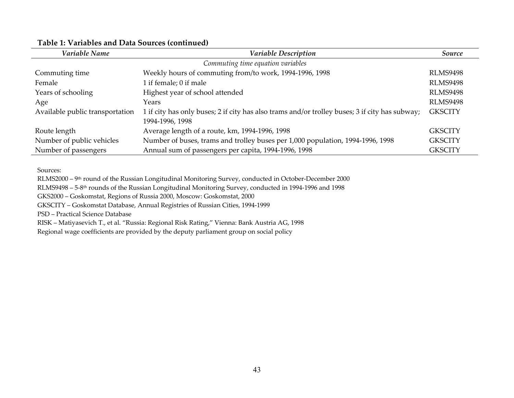| Variable Name                   | <b>Variable Description</b>                                                                    | Source          |
|---------------------------------|------------------------------------------------------------------------------------------------|-----------------|
|                                 | Commuting time equation variables                                                              |                 |
| Commuting time                  | Weekly hours of commuting from/to work, 1994-1996, 1998                                        | <b>RLMS9498</b> |
| Female                          | 1 if female; 0 if male                                                                         | <b>RLMS9498</b> |
| Years of schooling              | Highest year of school attended                                                                | <b>RLMS9498</b> |
| Age                             | Years                                                                                          | <b>RLMS9498</b> |
| Available public transportation | 1 if city has only buses; 2 if city has also trams and/or trolley buses; 3 if city has subway; | <b>GKSCITY</b>  |
|                                 | 1994-1996, 1998                                                                                |                 |
| Route length                    | Average length of a route, km, 1994-1996, 1998                                                 | <b>GKSCITY</b>  |
| Number of public vehicles       | Number of buses, trams and trolley buses per 1,000 population, 1994-1996, 1998                 | <b>GKSCITY</b>  |
| Number of passengers            | Annual sum of passengers per capita, 1994-1996, 1998                                           | <b>GKSCITY</b>  |

#### **Table 1: Variables and Data Sources (continued)**

Sources:

RLMS2000 – 9<sup>th</sup> round of the Russian Longitudinal Monitoring Survey, conducted in October-December 2000

RLMS9498 – 5-8th rounds of the Russian Longitudinal Monitoring Survey, conducted in 1994-1996 and 1998

GKS2000 – Goskomstat, Regions of Russia 2000, Moscow: Goskomstat, 2000

GKSCITY – Goskomstat Database, Annual Registries of Russian Cities, 1994-1999

PSD – Practical Science Database

RISK – Matiyasevich T., et al. "Russia: Regional Risk Rating," Vienna: Bank Austria AG, 1998

Regional wage coefficients are provided by the deputy parliament group on social policy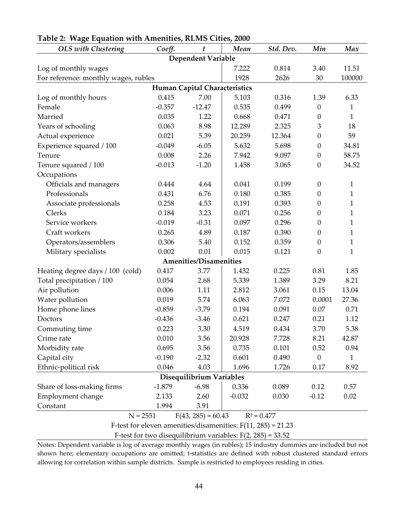| <b>OLS</b> with Clustering           | Coeff.                                                         | $\boldsymbol{t}$              | Mean     | Std. Dev.     | Min              | Max          |  |
|--------------------------------------|----------------------------------------------------------------|-------------------------------|----------|---------------|------------------|--------------|--|
|                                      |                                                                | <b>Dependent Variable</b>     |          |               |                  |              |  |
| Log of monthly wages                 |                                                                |                               | 7.222    | 0.814         | 3.40             | 11.51        |  |
| For reference: monthly wages, rubles |                                                                |                               | 1928     | 2626          | 30               | 100000       |  |
|                                      |                                                                | Human Capital Characteristics |          |               |                  |              |  |
| Log of monthly hours                 | 0.415                                                          | 7.00                          | 5.103    | 0.316         | 1.39             | 6.33         |  |
| Female                               | $-0.357$                                                       | $-12.47$                      | 0.535    | 0.499         | $\boldsymbol{0}$ | 1            |  |
| Married                              | 0.035                                                          | 1.22                          | 0.668    | 0.471         | $\boldsymbol{0}$ | $\mathbf{1}$ |  |
| Years of schooling                   | 0.063                                                          | 8.98                          | 12.289   | 2.325         | $\mathfrak{Z}$   | 18           |  |
| Actual experience                    | 0.021                                                          | 5.39                          | 20.259   | 12.364        | $\boldsymbol{0}$ | 59           |  |
| Experience squared / 100             | $-0.049$                                                       | $-6.05$                       | 5.632    | 5.698         | $\boldsymbol{0}$ | 34.81        |  |
| Tenure                               | 0.008                                                          | 2.26                          | 7.942    | 9.097         | $\boldsymbol{0}$ | 58.75        |  |
| Tenure squared / 100                 | $-0.013$                                                       | $-1.20$                       | 1.458    | 3.065         | $\boldsymbol{0}$ | 34.52        |  |
| Occupations                          |                                                                |                               |          |               |                  |              |  |
| Officials and managers               | 0.444                                                          | 4.64                          | 0.041    | 0.199         | $\theta$         | 1            |  |
| Professionals                        | 0.431                                                          | 6.76                          | 0.180    | 0.385         | $\boldsymbol{0}$ | $\mathbf{1}$ |  |
| Associate professionals              | 0.258                                                          | 4.53                          | 0.191    | 0.393         | $\boldsymbol{0}$ | 1            |  |
| Clerks                               | 0.184                                                          | 3.23                          | 0.071    | 0.256         | $\boldsymbol{0}$ | $\mathbf{1}$ |  |
| Service workers                      | $-0.019$                                                       | $-0.31$                       | 0.097    | 0.296         | $\boldsymbol{0}$ | $\mathbf{1}$ |  |
| Craft workers                        | 0.265                                                          | 4.89                          | 0.187    | 0.390         | $\theta$         | $\mathbf{1}$ |  |
| Operators/assemblers                 | 0.306                                                          | 5.40                          | 0.152    | 0.359         | $\boldsymbol{0}$ | 1            |  |
| Military specialists                 | 0.002                                                          | 0.01                          | 0.015    | 0.121         | $\boldsymbol{0}$ | $\mathbf{1}$ |  |
|                                      |                                                                | <b>Amenities/Disamenities</b> |          |               |                  |              |  |
| Heating degree days / 100 (cold)     | 0.417                                                          | 3.77                          | 1.432    | 0.225         | 0.81             | 1.85         |  |
| Total precipitation / 100            | 0.054                                                          | 2.68                          | 5.339    | 1.389         | 3.29             | 8.21         |  |
| Air pollution                        | 0.006                                                          | 1.11                          | 2.812    | 3.061         | 0.15             | 13.04        |  |
| Water pollution                      | 0.019                                                          | 5.74                          | 6.063    | 7.072         | 0.0001           | 27.36        |  |
| Home phone lines                     | $-0.859$                                                       | $-3.79$                       | 0.194    | 0.091         | 0.07             | 0.71         |  |
| Doctors                              | $-0.436$                                                       | $-3.46$                       | 0.621    | 0.247         | 0.21             | 1.12         |  |
| Commuting time                       | 0.223                                                          | 3.30                          | 4.519    | 0.434         | 3.70             | 5.38         |  |
| Crime rate                           | 0.010                                                          | 3.56                          | 20.928   | 7.728         | 8.21             | 42.87        |  |
| Morbidity rate                       | 0.695                                                          | 3.56                          | 0.735    | 0.101         | 0.52             | 0.94         |  |
| Capital city                         | $-0.190$                                                       | $-2.32$                       | 0.601    | 0.490         | $\theta$         | $\mathbf{1}$ |  |
| Ethnic-political risk                | 0.046                                                          | 4.03                          | 1.696    | 1.726         | 0.17             | 8.92         |  |
| Disequilibrium Variables             |                                                                |                               |          |               |                  |              |  |
| Share of loss-making firms           | $-1.879$                                                       | $-6.98$                       | 0.336    | 0.089         | 0.12             | 0.57         |  |
| Employment change                    | 2.133                                                          | 2.60                          | $-0.032$ | 0.030         | $-0.12$          | 0.02         |  |
| Constant                             | 1.994                                                          | 3.91                          |          |               |                  |              |  |
| $N = 2551$                           |                                                                | $F(43, 285) = 60.43$          |          | $R^2 = 0.477$ |                  |              |  |
|                                      | F-test for eleven amenities/disamenities: $F(11, 285) = 21.23$ |                               |          |               |                  |              |  |

#### **Table 2: Wage Equation with Amenities, RLMS Cities, 2000**

F-test for two disequilibrium variables:  $F(2, 285) = 33.52$ 

Notes: Dependent variable is log of average monthly wages (in rubles); 15 industry dummies are included but not shown here; elementary occupations are omitted; t-statistics are defined with robust clustered standard errors allowing for correlation within sample districts. Sample is restricted to employees residing in cities.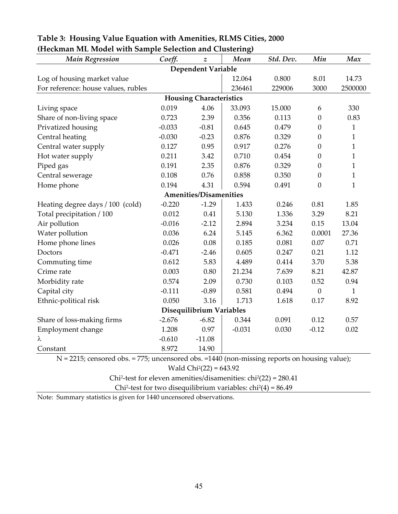| <b>Main Regression</b>                                   | Coeff.                         | $\boldsymbol{z}$              | σ,<br>Mean | Std. Dev.                                                                     | Min              | Max          |  |  |  |
|----------------------------------------------------------|--------------------------------|-------------------------------|------------|-------------------------------------------------------------------------------|------------------|--------------|--|--|--|
|                                                          |                                | <b>Dependent Variable</b>     |            |                                                                               |                  |              |  |  |  |
| Log of housing market value                              |                                |                               | 12.064     | 0.800                                                                         | 8.01             | 14.73        |  |  |  |
| For reference: house values, rubles                      |                                |                               | 236461     | 229006                                                                        | 3000             | 2500000      |  |  |  |
|                                                          | <b>Housing Characteristics</b> |                               |            |                                                                               |                  |              |  |  |  |
| Living space                                             | 0.019                          | 4.06                          | 33.093     | 15.000                                                                        | 6                | 330          |  |  |  |
| Share of non-living space                                | 0.723                          | 2.39                          | 0.356      | 0.113                                                                         | $\boldsymbol{0}$ | 0.83         |  |  |  |
| Privatized housing                                       | $-0.033$                       | $-0.81$                       | 0.645      | 0.479                                                                         | $\boldsymbol{0}$ | $\mathbf{1}$ |  |  |  |
| Central heating                                          | $-0.030$                       | $-0.23$                       | 0.876      | 0.329                                                                         | $\mathbf{0}$     | $\mathbf{1}$ |  |  |  |
| Central water supply                                     | 0.127                          | 0.95                          | 0.917      | 0.276                                                                         | $\boldsymbol{0}$ | $\mathbf{1}$ |  |  |  |
| Hot water supply                                         | 0.211                          | 3.42                          | 0.710      | 0.454                                                                         | $\boldsymbol{0}$ | $\mathbf{1}$ |  |  |  |
| Piped gas                                                | 0.191                          | 2.35                          | 0.876      | 0.329                                                                         | $\mathbf{0}$     | $\mathbf{1}$ |  |  |  |
| Central sewerage                                         | 0.108                          | 0.76                          | 0.858      | 0.350                                                                         | $\overline{0}$   | $\mathbf{1}$ |  |  |  |
| Home phone                                               | 0.194                          | 4.31                          | 0.594      | 0.491                                                                         | $\overline{0}$   | $\mathbf{1}$ |  |  |  |
|                                                          |                                | <b>Amenities/Disamenities</b> |            |                                                                               |                  |              |  |  |  |
| Heating degree days / 100 (cold)                         | $-0.220$                       | $-1.29$                       | 1.433      | 0.246                                                                         | 0.81             | 1.85         |  |  |  |
| Total precipitation / 100                                | 0.012                          | 0.41                          | 5.130      | 1.336                                                                         | 3.29             | 8.21         |  |  |  |
| Air pollution                                            | $-0.016$                       | $-2.12$                       | 2.894      | 3.234                                                                         | 0.15             | 13.04        |  |  |  |
| Water pollution                                          | 0.036                          | 6.24                          | 5.145      | 6.362                                                                         | 0.0001           | 27.36        |  |  |  |
| Home phone lines                                         | 0.026                          | 0.08                          | 0.185      | 0.081                                                                         | 0.07             | 0.71         |  |  |  |
| Doctors                                                  | $-0.471$                       | $-2.46$                       | 0.605      | 0.247                                                                         | 0.21             | 1.12         |  |  |  |
| Commuting time                                           | 0.612                          | 5.83                          | 4.489      | 0.414                                                                         | 3.70             | 5.38         |  |  |  |
| Crime rate                                               | 0.003                          | 0.80                          | 21.234     | 7.639                                                                         | 8.21             | 42.87        |  |  |  |
| Morbidity rate                                           | 0.574                          | 2.09                          | 0.730      | 0.103                                                                         | 0.52             | 0.94         |  |  |  |
| Capital city                                             | $-0.111$                       | $-0.89$                       | 0.581      | 0.494                                                                         | $\boldsymbol{0}$ | $\mathbf{1}$ |  |  |  |
| Ethnic-political risk                                    | 0.050                          | 3.16                          | 1.713      | 1.618                                                                         | 0.17             | 8.92         |  |  |  |
| Disequilibrium Variables                                 |                                |                               |            |                                                                               |                  |              |  |  |  |
| Share of loss-making firms                               | $-2.676$                       | $-6.82$                       | 0.344      | 0.091                                                                         | 0.12             | 0.57         |  |  |  |
| Employment change                                        | 1.208                          | 0.97                          | $-0.031$   | 0.030                                                                         | $-0.12$          | 0.02         |  |  |  |
| λ                                                        | $-0.610$                       | $-11.08$                      |            |                                                                               |                  |              |  |  |  |
| Constant<br><b>775.</b><br>$N = 2215$ , concord also $-$ | 8.972                          | 14.90                         |            | $\frac{1110}{2000000000}$ dec $-1110$ (non missing reports on housing value). |                  |              |  |  |  |

#### **Table 3: Housing Value Equation with Amenities, RLMS Cities, 2000 (Heckman ML Model with Sample Selection and Clustering)**

N = 2215; censored obs. = 775; uncensored obs. =1440 (non-missing reports on housing value);

Wald Chi<sup>2</sup>(22) =  $643.92$ 

Chi2-test for eleven amenities/disamenities: chi2(22) = 280.41

Chi<sup>2</sup>-test for two disequilibrium variables:  $chi<sup>2</sup>(4) = 86.49$ 

Note: Summary statistics is given for 1440 uncensored observations.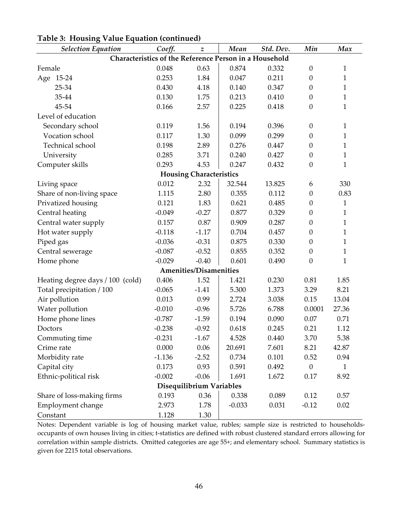| <b>Selection Equation</b>                              | Coeff.   | $\boldsymbol{z}$               | Mean     | Std. Dev. | Min              | Max          |  |  |
|--------------------------------------------------------|----------|--------------------------------|----------|-----------|------------------|--------------|--|--|
| Characteristics of the Reference Person in a Household |          |                                |          |           |                  |              |  |  |
| Female                                                 | 0.048    | 0.63                           | 0.874    | 0.332     | $\boldsymbol{0}$ | $\mathbf{1}$ |  |  |
| Age 15-24                                              | 0.253    | 1.84                           | 0.047    | 0.211     | $\boldsymbol{0}$ | 1            |  |  |
| 25-34                                                  | 0.430    | 4.18                           | 0.140    | 0.347     | $\overline{0}$   | 1            |  |  |
| 35-44                                                  | 0.130    | 1.75                           | 0.213    | 0.410     | $\boldsymbol{0}$ | $\mathbf{1}$ |  |  |
| 45-54                                                  | 0.166    | 2.57                           | 0.225    | 0.418     | $\boldsymbol{0}$ | $\mathbf 1$  |  |  |
| Level of education                                     |          |                                |          |           |                  |              |  |  |
| Secondary school                                       | 0.119    | 1.56                           | 0.194    | 0.396     | $\boldsymbol{0}$ | 1            |  |  |
| Vocation school                                        | 0.117    | 1.30                           | 0.099    | 0.299     | $\boldsymbol{0}$ | 1            |  |  |
| Technical school                                       | 0.198    | 2.89                           | 0.276    | 0.447     | $\boldsymbol{0}$ | 1            |  |  |
| University                                             | 0.285    | 3.71                           | 0.240    | 0.427     | $\boldsymbol{0}$ | $\mathbf{1}$ |  |  |
| Computer skills                                        | 0.293    | 4.53                           | 0.247    | 0.432     | $\boldsymbol{0}$ | 1            |  |  |
|                                                        |          | <b>Housing Characteristics</b> |          |           |                  |              |  |  |
| Living space                                           | 0.012    | 2.32                           | 32.544   | 13.825    | 6                | 330          |  |  |
| Share of non-living space                              | 1.115    | 2.80                           | 0.355    | 0.112     | $\boldsymbol{0}$ | 0.83         |  |  |
| Privatized housing                                     | 0.121    | 1.83                           | 0.621    | 0.485     | $\boldsymbol{0}$ | 1            |  |  |
| Central heating                                        | $-0.049$ | $-0.27$                        | 0.877    | 0.329     | $\overline{0}$   | $\mathbf{1}$ |  |  |
| Central water supply                                   | 0.157    | 0.87                           | 0.909    | 0.287     | $\boldsymbol{0}$ | $\mathbf{1}$ |  |  |
| Hot water supply                                       | $-0.118$ | $-1.17$                        | 0.704    | 0.457     | $\boldsymbol{0}$ | 1            |  |  |
| Piped gas                                              | $-0.036$ | $-0.31$                        | 0.875    | 0.330     | $\overline{0}$   | 1            |  |  |
| Central sewerage                                       | $-0.087$ | $-0.52$                        | 0.855    | 0.352     | $\overline{0}$   | $\mathbf{1}$ |  |  |
| Home phone                                             | $-0.029$ | $-0.40$                        | 0.601    | 0.490     | $\boldsymbol{0}$ | 1            |  |  |
|                                                        |          | <b>Amenities/Disamenities</b>  |          |           |                  |              |  |  |
| Heating degree days / 100 (cold)                       | 0.406    | 1.52                           | 1.421    | 0.230     | 0.81             | 1.85         |  |  |
| Total precipitation / 100                              | $-0.065$ | $-1.41$                        | 5.300    | 1.373     | 3.29             | 8.21         |  |  |
| Air pollution                                          | 0.013    | 0.99                           | 2.724    | 3.038     | 0.15             | 13.04        |  |  |
| Water pollution                                        | $-0.010$ | $-0.96$                        | 5.726    | 6.788     | 0.0001           | 27.36        |  |  |
| Home phone lines                                       | $-0.787$ | $-1.59$                        | 0.194    | 0.090     | 0.07             | 0.71         |  |  |
| Doctors                                                | $-0.238$ | $-0.92$                        | 0.618    | 0.245     | 0.21             | 1.12         |  |  |
| Commuting time                                         | $-0.231$ | $-1.67$                        | 4.528    | 0.440     | 3.70             | 5.38         |  |  |
| Crime rate                                             | 0.000    | 0.06                           | 20.691   | 7.601     | 8.21             | 42.87        |  |  |
| Morbidity rate                                         | $-1.136$ | $-2.52$                        | 0.734    | 0.101     | 0.52             | 0.94         |  |  |
| Capital city                                           | 0.173    | 0.93                           | 0.591    | 0.492     | $\boldsymbol{0}$ | 1            |  |  |
| Ethnic-political risk                                  | $-0.002$ | $-0.06$                        | 1.691    | 1.672     | 0.17             | 8.92         |  |  |
| Disequilibrium Variables                               |          |                                |          |           |                  |              |  |  |
| Share of loss-making firms                             | 0.193    | 0.36                           | 0.338    | 0.089     | 0.12             | 0.57         |  |  |
| Employment change                                      | 2.973    | 1.78                           | $-0.033$ | 0.031     | $-0.12$          | 0.02         |  |  |
| Constant                                               | 1.128    | 1.30                           |          |           |                  |              |  |  |

#### **Table 3: Housing Value Equation (continued)**

Notes: Dependent variable is log of housing market value, rubles; sample size is restricted to householdsoccupants of own houses living in cities; t-statistics are defined with robust clustered standard errors allowing for correlation within sample districts. Omitted categories are age 55+; and elementary school. Summary statistics is given for 2215 total observations.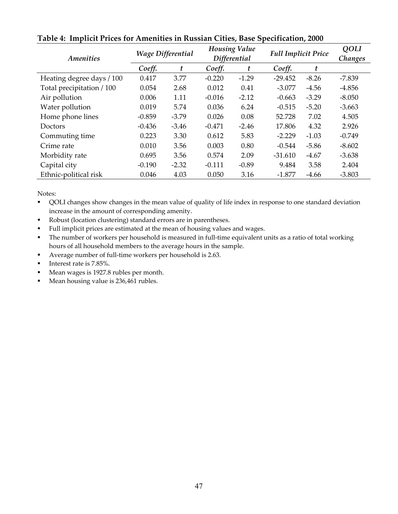| <b>Amenities</b>          | <b>Wage Differential</b> |         | <b>Housing Value</b><br><b>Differential</b> |         | <b>Full Implicit Price</b> |         | QOLI<br>Changes |
|---------------------------|--------------------------|---------|---------------------------------------------|---------|----------------------------|---------|-----------------|
|                           | Coeff.                   | t       | Coeff.                                      | t       | Coeff.                     | t       |                 |
| Heating degree days / 100 | 0.417                    | 3.77    | $-0.220$                                    | $-1.29$ | $-29.452$                  | $-8.26$ | $-7.839$        |
| Total precipitation / 100 | 0.054                    | 2.68    | 0.012                                       | 0.41    | $-3.077$                   | $-4.56$ | $-4.856$        |
| Air pollution             | 0.006                    | 1.11    | $-0.016$                                    | $-2.12$ | $-0.663$                   | $-3.29$ | $-8.050$        |
| Water pollution           | 0.019                    | 5.74    | 0.036                                       | 6.24    | $-0.515$                   | $-5.20$ | $-3.663$        |
| Home phone lines          | $-0.859$                 | $-3.79$ | 0.026                                       | 0.08    | 52.728                     | 7.02    | 4.505           |
| <b>Doctors</b>            | $-0.436$                 | $-3.46$ | $-0.471$                                    | $-2.46$ | 17.806                     | 4.32    | 2.926           |
| Commuting time            | 0.223                    | 3.30    | 0.612                                       | 5.83    | $-2.229$                   | $-1.03$ | $-0.749$        |
| Crime rate                | 0.010                    | 3.56    | 0.003                                       | 0.80    | $-0.544$                   | $-5.86$ | $-8.602$        |
| Morbidity rate            | 0.695                    | 3.56    | 0.574                                       | 2.09    | $-31.610$                  | $-4.67$ | $-3.638$        |
| Capital city              | $-0.190$                 | $-2.32$ | $-0.111$                                    | $-0.89$ | 9.484                      | 3.58    | 2.404           |
| Ethnic-political risk     | 0.046                    | 4.03    | 0.050                                       | 3.16    | $-1.877$                   | $-4.66$ | $-3.803$        |

**Table 4: Implicit Prices for Amenities in Russian Cities, Base Specification, 2000** 

Notes:

- QOLI changes show changes in the mean value of quality of life index in response to one standard deviation increase in the amount of corresponding amenity.
- Robust (location clustering) standard errors are in parentheses.
- Full implicit prices are estimated at the mean of housing values and wages.
- The number of workers per household is measured in full-time equivalent units as a ratio of total working hours of all household members to the average hours in the sample.
- Average number of full-time workers per household is 2.63.
- Interest rate is 7.85%.
- Mean wages is 1927.8 rubles per month.
- Mean housing value is 236,461 rubles.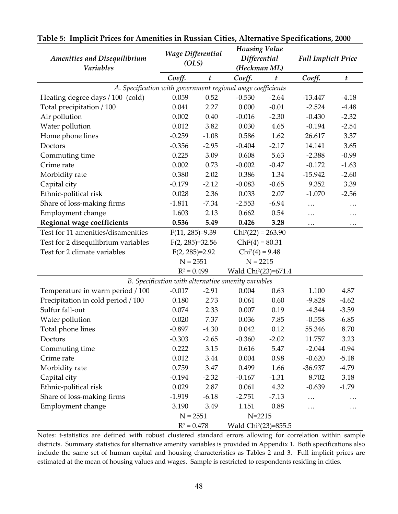|                                                             | <b>Wage Differential</b> |         | <b>Housing Value</b>                                |                  |                            |                  |
|-------------------------------------------------------------|--------------------------|---------|-----------------------------------------------------|------------------|----------------------------|------------------|
| <b>Amenities and Disequilibrium</b>                         | (OLS)                    |         | Differential                                        |                  | <b>Full Implicit Price</b> |                  |
| <b>Variables</b>                                            |                          |         | (Heckman ML)                                        |                  |                            |                  |
|                                                             | Coeff.                   | t       | Coeff.                                              | $\boldsymbol{t}$ | Coeff.                     | $\boldsymbol{t}$ |
| A. Specification with government regional wage coefficients |                          |         |                                                     |                  |                            |                  |
| Heating degree days / 100 (cold)                            | 0.059                    | 0.52    | $-0.530$                                            | $-2.64$          | $-13.447$                  | $-4.18$          |
| Total precipitation / 100                                   | 0.041                    | 2.27    | 0.000                                               | $-0.01$          | $-2.524$                   | $-4.48$          |
| Air pollution                                               | 0.002                    | 0.40    | $-0.016$                                            | $-2.30$          | $-0.430$                   | $-2.32$          |
| Water pollution                                             | 0.012                    | 3.82    | 0.030                                               | 4.65             | $-0.194$                   | $-2.54$          |
| Home phone lines                                            | $-0.259$                 | $-1.08$ | 0.586                                               | 1.62             | 26.617                     | 3.37             |
| Doctors                                                     | $-0.356$                 | $-2.95$ | $-0.404$                                            | $-2.17$          | 14.141                     | 3.65             |
| Commuting time                                              | 0.225                    | 3.09    | 0.608                                               | 5.63             | $-2.388$                   | $-0.99$          |
| Crime rate                                                  | 0.002                    | 0.73    | $-0.002$                                            | $-0.47$          | $-0.172$                   | $-1.63$          |
| Morbidity rate                                              | 0.380                    | 2.02    | 0.386                                               | 1.34             | $-15.942$                  | $-2.60$          |
| Capital city                                                | $-0.179$                 | $-2.12$ | $-0.083$                                            | $-0.65$          | 9.352                      | 3.39             |
| Ethnic-political risk                                       | 0.028                    | 2.36    | 0.033                                               | 2.07             | $-1.070$                   | $-2.56$          |
| Share of loss-making firms                                  | $-1.811$                 | $-7.34$ | $-2.553$                                            | $-6.94$          | $\cdots$                   | .                |
| Employment change                                           | 1.603                    | 2.13    | 0.662                                               | 0.54             | $\cdots$                   | $\cdots$         |
| Regional wage coefficients                                  | 0.536                    | 5.49    | 0.426                                               | 3.28             | $\cdots$                   | $\cdots$         |
| Test for 11 amenities/disamenities                          | $F(11, 285)=9.39$        |         | $Chi2(22) = 263.90$                                 |                  |                            |                  |
| Test for 2 disequilibrium variables                         | $F(2, 285)=32.56$        |         | $Chi2(4) = 80.31$                                   |                  |                            |                  |
| Test for 2 climate variables                                | $F(2, 285)=2.92$         |         | $Chi2(4) = 9.48$                                    |                  |                            |                  |
|                                                             | $N = 2551$               |         | $N = 2215$                                          |                  |                            |                  |
|                                                             | $R^2 = 0.499$            |         | Wald Chi <sup>2</sup> (23)=671.4                    |                  |                            |                  |
|                                                             |                          |         | B. Specification with alternative amenity variables |                  |                            |                  |
| Temperature in warm period / 100                            | $-0.017$                 | $-2.91$ | 0.004                                               | 0.63             | 1.100                      | 4.87             |
| Precipitation in cold period / 100                          | 0.180                    | 2.73    | 0.061                                               | 0.60             | $-9.828$                   | $-4.62$          |
| Sulfur fall-out                                             | 0.074                    | 2.33    | 0.007                                               | 0.19             | $-4.344$                   | $-3.59$          |
| Water pollution                                             | 0.020                    | 7.37    | 0.036                                               | 7.85             | $-0.558$                   | $-6.85$          |
| Total phone lines                                           | $-0.897$                 | $-4.30$ | 0.042                                               | 0.12             | 55.346                     | 8.70             |
| Doctors                                                     | $-0.303$                 | $-2.65$ | $-0.360$                                            | $-2.02$          | 11.757                     | 3.23             |
| Commuting time                                              | 0.222                    | 3.15    | 0.616                                               | 5.47             | $-2.044$                   | $-0.94$          |
| Crime rate                                                  | 0.012                    | 3.44    | 0.004                                               | 0.98             | $-0.620$                   | $-5.18$          |
| Morbidity rate                                              | 0.759                    | 3.47    | 0.499                                               | 1.66             | $-36.937$                  | $-4.79$          |
| Capital city                                                | $-0.194$                 | $-2.32$ | $-0.167$                                            | $-1.31$          | 8.702                      | 3.18             |
| Ethnic-political risk                                       | 0.029                    | 2.87    | 0.061                                               | 4.32             | $-0.639$                   | $-1.79$          |
| Share of loss-making firms                                  | $-1.919$                 | $-6.18$ | $-2.751$                                            | $-7.13$          | .                          | $\cdots$         |
| Employment change                                           | 3.190                    | 3.49    | 1.151                                               | 0.88             | $\cdots$                   | $\cdots$         |
|                                                             | $N = 2551$               |         | $N = 2215$                                          |                  |                            |                  |
|                                                             | $R^2 = 0.478$            |         | Wald Chi <sup>2</sup> (23)=855.5                    |                  |                            |                  |

#### **Table 5: Implicit Prices for Amenities in Russian Cities, Alternative Specifications, 2000**

Notes: t-statistics are defined with robust clustered standard errors allowing for correlation within sample districts. Summary statistics for alternative amenity variables is provided in Appendix 1. Both specifications also include the same set of human capital and housing characteristics as Tables 2 and 3. Full implicit prices are estimated at the mean of housing values and wages. Sample is restricted to respondents residing in cities.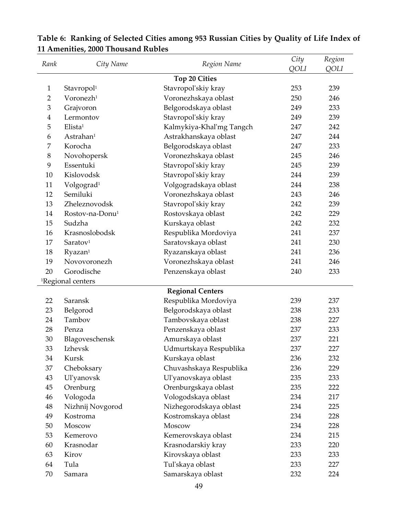| Rank           | City Name                                       | Region Name              | City        | Region     |
|----------------|-------------------------------------------------|--------------------------|-------------|------------|
|                |                                                 |                          | <b>QOLI</b> | QOLI       |
| $\mathbf{1}$   |                                                 | <b>Top 20 Cities</b>     | 253         | 239        |
| $\overline{2}$ | Stavropol <sup>1</sup><br>Voronezh <sup>1</sup> | Stavropol'skiy kray      | 250         | 246        |
| 3              |                                                 | Voronezhskaya oblast     | 249         | 233        |
| 4              | Grajvoron<br>Lermontov                          | Belgorodskaya oblast     | 249         | 239        |
|                | Elista <sup>1</sup>                             | Stavropol'skiy kray      |             |            |
| 5              | Astrahan <sup>1</sup>                           | Kalmykiya-Khal'mg Tangch | 247<br>247  | 242<br>244 |
| 6              | Korocha                                         | Astrakhanskaya oblast    |             |            |
| 7              |                                                 | Belgorodskaya oblast     | 247         | 233<br>246 |
| 8              | Novohopersk<br>Essentuki                        | Voronezhskaya oblast     | 245         |            |
| 9              |                                                 | Stavropol'skiy kray      | 245         | 239        |
| 10             | Kislovodsk                                      | Stavropol'skiy kray      | 244         | 239        |
| 11             | Volgograd <sup>1</sup>                          | Volgogradskaya oblast    | 244         | 238        |
| 12             | Semiluki                                        | Voronezhskaya oblast     | 243         | 246        |
| 13             | Zheleznovodsk                                   | Stavropol'skiy kray      | 242         | 239        |
| 14             | Rostov-na-Donu <sup>1</sup>                     | Rostovskaya oblast       | 242         | 229        |
| 15             | Sudzha                                          | Kurskaya oblast          | 242         | 232        |
| 16             | Krasnoslobodsk                                  | Respublika Mordoviya     | 241         | 237        |
| 17             | Saratov <sup>1</sup>                            | Saratovskaya oblast      | 241         | 230        |
| 18             | Ryazan <sup>1</sup>                             | Ryazanskaya oblast       | 241         | 236        |
| 19             | Novovoronezh                                    | Voronezhskaya oblast     | 241         | 246        |
| 20             | Gorodische                                      | Penzenskaya oblast       | 240         | 233        |
|                | <sup>1</sup> Regional centers                   |                          |             |            |
|                |                                                 | <b>Regional Centers</b>  |             |            |
| 22             | Saransk                                         | Respublika Mordoviya     | 239         | 237        |
| 23             | Belgorod                                        | Belgorodskaya oblast     | 238         | 233        |
| 24             | Tambov                                          | Tambovskaya oblast       | 238         | 227        |
| 28             | Penza                                           | Penzenskaya oblast       | 237         | 233        |
| 30             | Blagoveschensk                                  | Amurskaya oblast         | 237         | 221        |
| 33             | Izhevsk                                         | Udmurtskaya Respublika   | 237         | 227        |
| 34             | Kursk                                           | Kurskaya oblast          | 236         | 232        |
| 37             | Cheboksary                                      | Chuvashskaya Respublika  | 236         | 229        |
| 43             | Ul'yanovsk                                      | Ul'yanovskaya oblast     | 235         | 233        |
| 45             | Orenburg                                        | Orenburgskaya oblast     | 235         | 222        |
| 46             | Vologoda                                        | Vologodskaya oblast      | 234         | 217        |
| $\rm 48$       | Nizhnij Novgorod                                | Nizhegorodskaya oblast   | 234         | 225        |
| 49             | Kostroma                                        | Kostromskaya oblast      | 234         | 228        |
| 50             | Moscow                                          | Moscow                   | 234         | 228        |
| 53             | Kemerovo                                        | Kemerovskaya oblast      | 234         | 215        |
| 60             | Krasnodar                                       | Krasnodarskiy kray       | 233         | 220        |
| 63             | Kirov                                           | Kirovskaya oblast        | 233         | 233        |
| 64             | Tula                                            | Tul'skaya oblast         | 233         | 227        |
| 70             | Samara                                          | Samarskaya oblast        | 232         | 224        |

## **Table 6: Ranking of Selected Cities among 953 Russian Cities by Quality of Life Index of 11 Amenities, 2000 Thousand Rubles**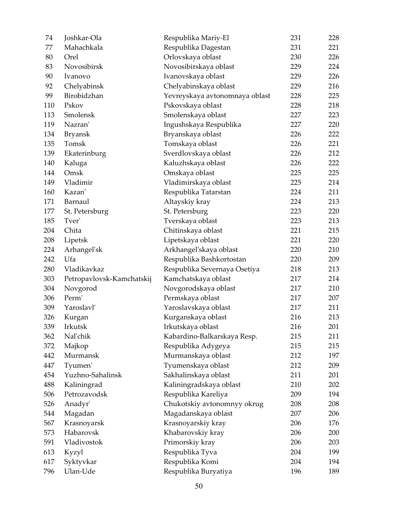| 74  | Joshkar-Ola               | Respublika Mariy-El            | 231 | 228 |
|-----|---------------------------|--------------------------------|-----|-----|
| 77  | Mahachkala                | Respublika Dagestan            | 231 | 221 |
| 80  | Orel                      | Orlovskaya oblast              | 230 | 226 |
| 83  | Novosibirsk               | Novosibirskaya oblast          | 229 | 224 |
| 90  | Ivanovo                   | Ivanovskaya oblast             | 229 | 226 |
| 92  | Chelyabinsk               | Chelyabinskaya oblast          | 229 | 216 |
| 99  | Birobidzhan               | Yevreyskaya avtonomnaya oblast | 228 | 225 |
| 110 | Pskov                     | Pskovskaya oblast              | 228 | 218 |
| 113 | Smolensk                  | Smolenskaya oblast             | 227 | 223 |
| 119 | Nazran'                   | Ingushskaya Respublika         | 227 | 220 |
| 134 | <b>Bryansk</b>            | Bryanskaya oblast              | 226 | 222 |
| 135 | Tomsk                     | Tomskaya oblast                | 226 | 221 |
| 139 | Ekaterinburg              | Sverdlovskaya oblast           | 226 | 212 |
| 140 | Kaluga                    | Kaluzhskaya oblast             | 226 | 222 |
| 144 | Omsk                      | Omskaya oblast                 | 225 | 225 |
| 149 | Vladimir                  | Vladimirskaya oblast           | 225 | 214 |
| 160 | Kazan'                    | Respublika Tatarstan           | 224 | 211 |
| 171 | Barnaul                   | Altayskiy kray                 | 224 | 213 |
| 177 | St. Petersburg            | St. Petersburg                 | 223 | 220 |
| 185 | Tver'                     | Tverskaya oblast               | 223 | 213 |
| 204 | Chita                     | Chitinskaya oblast             | 221 | 215 |
| 208 | Lipetsk                   | Lipetskaya oblast              | 221 | 220 |
| 224 | Arhangel'sk               | Arkhangel'skaya oblast         | 220 | 210 |
| 242 | Ufa                       | Respublika Bashkortostan       | 220 | 209 |
| 280 | Vladikavkaz               | Respublika Severnaya Osetiya   | 218 | 213 |
| 303 | Petropavlovsk-Kamchatskij | Kamchatskaya oblast            | 217 | 214 |
| 304 | Novgorod                  | Novgorodskaya oblast           | 217 | 210 |
| 306 | Perm'                     | Permskaya oblast               | 217 | 207 |
| 309 | Yaroslavl'                | Yaroslavskaya oblast           | 217 | 211 |
| 326 | Kurgan                    | Kurganskaya oblast             | 216 | 213 |
| 339 | Irkutsk                   | Irkutskaya oblast              | 216 | 201 |
| 362 | Nal'chik                  | Kabardino-Balkarskaya Resp.    | 215 | 211 |
| 372 | Majkop                    | Respublika Adygeya             | 215 | 215 |
| 442 | Murmansk                  | Murmanskaya oblast             | 212 | 197 |
| 447 | Tyumen'                   | Tyumenskaya oblast             | 212 | 209 |
| 454 | Yuzhno-Sahalinsk          | Sakhalinskaya oblast           | 211 | 201 |
| 488 | Kaliningrad               | Kaliningradskaya oblast        | 210 | 202 |
| 506 | Petrozavodsk              | Respublika Kareliya            | 209 | 194 |
| 526 | Anadyr'                   | Chukotskiy avtonomnyy okrug    | 208 | 208 |
| 544 | Magadan                   | Magadanskaya oblast            | 207 | 206 |
| 567 | Krasnoyarsk               | Krasnoyarskiy kray             | 206 | 176 |
| 573 | Habarovsk                 | Khabarovskiy kray              | 206 | 200 |
| 591 | Vladivostok               | Primorskiy kray                | 206 | 203 |
| 613 | Kyzyl                     | Respublika Tyva                | 204 | 199 |
| 617 | Syktyvkar                 | Respublika Komi                | 204 | 194 |
| 796 | Ulan-Ude                  | Respublika Buryatiya           | 196 | 189 |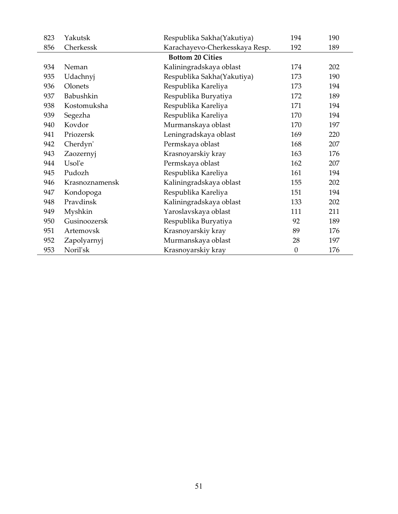| 823 | Yakutsk                 | Respublika Sakha(Yakutiya)     | 194              | 190 |  |  |  |
|-----|-------------------------|--------------------------------|------------------|-----|--|--|--|
| 856 | Cherkessk               | Karachayevo-Cherkesskaya Resp. | 192              | 189 |  |  |  |
|     | <b>Bottom 20 Cities</b> |                                |                  |     |  |  |  |
| 934 | Neman                   | Kaliningradskaya oblast        | 174              | 202 |  |  |  |
| 935 | Udachnyj                | Respublika Sakha(Yakutiya)     | 173              | 190 |  |  |  |
| 936 | Olonets                 | Respublika Kareliya            | 173              | 194 |  |  |  |
| 937 | Babushkin               | Respublika Buryatiya           | 172              | 189 |  |  |  |
| 938 | Kostomuksha             | Respublika Kareliya            | 171              | 194 |  |  |  |
| 939 | Segezha                 | Respublika Kareliya            | 170              | 194 |  |  |  |
| 940 | Kovdor                  | Murmanskaya oblast             | 170              | 197 |  |  |  |
| 941 | Priozersk               | Leningradskaya oblast          | 169              | 220 |  |  |  |
| 942 | Cherdyn'                | Permskaya oblast               | 168              | 207 |  |  |  |
| 943 | Zaozernyj               | Krasnoyarskiy kray             | 163              | 176 |  |  |  |
| 944 | Usol'e                  | Permskaya oblast               | 162              | 207 |  |  |  |
| 945 | Pudozh                  | Respublika Kareliya            | 161              | 194 |  |  |  |
| 946 | Krasnoznamensk          | Kaliningradskaya oblast        | 155              | 202 |  |  |  |
| 947 | Kondopoga               | Respublika Kareliya            | 151              | 194 |  |  |  |
| 948 | Pravdinsk               | Kaliningradskaya oblast        | 133              | 202 |  |  |  |
| 949 | Myshkin                 | Yaroslavskaya oblast           | 111              | 211 |  |  |  |
| 950 | Gusinoozersk            | Respublika Buryatiya           | 92               | 189 |  |  |  |
| 951 | Artemovsk               | Krasnoyarskiy kray             | 89               | 176 |  |  |  |
| 952 | Zapolyarnyj             | Murmanskaya oblast             | 28               | 197 |  |  |  |
| 953 | Noril'sk                | Krasnoyarskiy kray             | $\boldsymbol{0}$ | 176 |  |  |  |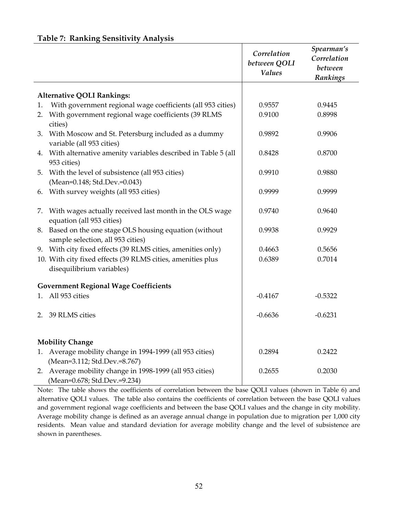#### **Table 7: Ranking Sensitivity Analysis**

|    |                                                                                              | Correlation<br>between QOLI<br><b>Values</b> | Spearman's<br>Correlation<br>between<br>Rankings |
|----|----------------------------------------------------------------------------------------------|----------------------------------------------|--------------------------------------------------|
|    | <b>Alternative QOLI Rankings:</b>                                                            |                                              |                                                  |
| 1. | With government regional wage coefficients (all 953 cities)                                  | 0.9557                                       | 0.9445                                           |
| 2. | With government regional wage coefficients (39 RLMS<br>cities)                               | 0.9100                                       | 0.8998                                           |
| 3. | With Moscow and St. Petersburg included as a dummy<br>variable (all 953 cities)              | 0.9892                                       | 0.9906                                           |
|    | 4. With alternative amenity variables described in Table 5 (all<br>953 cities)               | 0.8428                                       | 0.8700                                           |
|    | 5. With the level of subsistence (all 953 cities)<br>(Mean=0.148; Std.Dev.=0.043)            | 0.9910                                       | 0.9880                                           |
|    | 6. With survey weights (all 953 cities)                                                      | 0.9999                                       | 0.9999                                           |
|    | 7. With wages actually received last month in the OLS wage<br>equation (all 953 cities)      | 0.9740                                       | 0.9640                                           |
|    | 8. Based on the one stage OLS housing equation (without<br>sample selection, all 953 cities) | 0.9938                                       | 0.9929                                           |
|    | 9. With city fixed effects (39 RLMS cities, amenities only)                                  | 0.4663                                       | 0.5656                                           |
|    | 10. With city fixed effects (39 RLMS cities, amenities plus<br>disequilibrium variables)     | 0.6389                                       | 0.7014                                           |
|    | <b>Government Regional Wage Coefficients</b>                                                 |                                              |                                                  |
|    | 1. All 953 cities                                                                            | $-0.4167$                                    | $-0.5322$                                        |
|    | 2. 39 RLMS cities                                                                            | $-0.6636$                                    | $-0.6231$                                        |
|    | <b>Mobility Change</b>                                                                       |                                              |                                                  |
|    | 1. Average mobility change in 1994-1999 (all 953 cities)                                     | 0.2894                                       | 0.2422                                           |
|    | (Mean=3.112; Std.Dev.=8.767)                                                                 |                                              |                                                  |
|    | 2. Average mobility change in 1998-1999 (all 953 cities)<br>(Mean=0.678; Std.Dev.=9.234)     | 0.2655                                       | 0.2030                                           |

Note: The table shows the coefficients of correlation between the base QOLI values (shown in Table 6) and alternative QOLI values. The table also contains the coefficients of correlation between the base QOLI values and government regional wage coefficients and between the base QOLI values and the change in city mobility. Average mobility change is defined as an average annual change in population due to migration per 1,000 city residents. Mean value and standard deviation for average mobility change and the level of subsistence are shown in parentheses.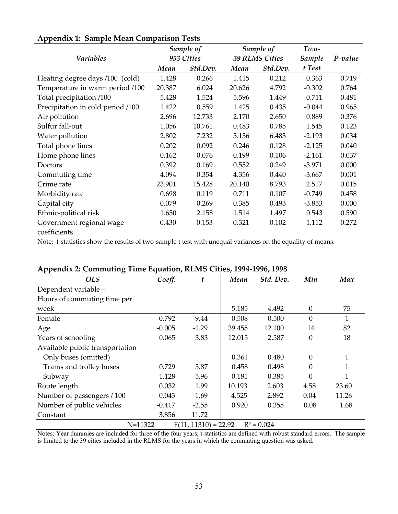|                                          | Sample of  |          | Sample of             |          | Two-     |         |
|------------------------------------------|------------|----------|-----------------------|----------|----------|---------|
| <b>Variables</b>                         | 953 Cities |          | <b>39 RLMS Cities</b> |          | Sample   | P-value |
|                                          | Mean       | Std.Dev. | Mean                  | Std.Dev. | t Test   |         |
| Heating degree days /100 (cold)          | 1.428      | 0.266    | 1.415                 | 0.212    | 0.363    | 0.719   |
| Temperature in warm period /100          | 20.387     | 6.024    | 20.626                | 4.792    | $-0.302$ | 0.764   |
| Total precipitation /100                 | 5.428      | 1.524    | 5.596                 | 1.449    | $-0.711$ | 0.481   |
| Precipitation in cold period /100        | 1.422      | 0.559    | 1.425                 | 0.435    | $-0.044$ | 0.965   |
| Air pollution                            | 2.696      | 12.733   | 2.170                 | 2.650    | 0.889    | 0.376   |
| Sulfur fall-out                          | 1.056      | 10.761   | 0.483                 | 0.785    | 1.545    | 0.123   |
| Water pollution                          | 2.802      | 7.232    | 5.136                 | 6.483    | $-2.193$ | 0.034   |
| Total phone lines                        | 0.202      | 0.092    | 0.246                 | 0.128    | $-2.125$ | 0.040   |
| Home phone lines                         | 0.162      | 0.076    | 0.199                 | 0.106    | $-2.161$ | 0.037   |
| Doctors                                  | 0.392      | 0.169    | 0.552                 | 0.249    | $-3.971$ | 0.000   |
| Commuting time                           | 4.094      | 0.354    | 4.356                 | 0.440    | $-3.667$ | 0.001   |
| Crime rate                               | 23.901     | 15.428   | 20.140                | 8.793    | 2.517    | 0.015   |
| Morbidity rate                           | 0.698      | 0.119    | 0.711                 | 0.107    | $-0.749$ | 0.458   |
| Capital city                             | 0.079      | 0.269    | 0.385                 | 0.493    | $-3.853$ | 0.000   |
| Ethnic-political risk                    | 1.650      | 2.158    | 1.514                 | 1.497    | 0.543    | 0.590   |
| Government regional wage<br>coefficients | 0.430      | 0.153    | 0.321                 | 0.102    | 1.112    | 0.272   |

#### **Appendix 1: Sample Mean Comparison Tests**

Note: t-statistics show the results of two-sample t test with unequal variances on the equality of means.

| <b>OLS</b>                      | Coeff.   | t                      | Mean   | Std. Dev.     | Min              | Max          |
|---------------------------------|----------|------------------------|--------|---------------|------------------|--------------|
| Dependent variable -            |          |                        |        |               |                  |              |
| Hours of commuting time per     |          |                        |        |               |                  |              |
| week                            |          |                        | 5.185  | 4.492         | $\boldsymbol{0}$ | 75           |
| Female                          | $-0.792$ | $-9.44$                | 0.508  | 0.500         | $\overline{0}$   | $\mathbf{1}$ |
| Age                             | $-0.005$ | $-1.29$                | 39.455 | 12.100        | 14               | 82           |
| Years of schooling              | 0.065    | 3.83                   | 12.015 | 2.587         | $\boldsymbol{0}$ | 18           |
| Available public transportation |          |                        |        |               |                  |              |
| Only buses (omitted)            |          |                        | 0.361  | 0.480         | $\theta$         |              |
| Trams and trolley buses         | 0.729    | 5.87                   | 0.458  | 0.498         | $\boldsymbol{0}$ |              |
| Subway                          | 1.128    | 5.96                   | 0.181  | 0.385         | $\theta$         |              |
| Route length                    | 0.032    | 1.99                   | 10.193 | 2.603         | 4.58             | 23.60        |
| Number of passengers / 100      | 0.043    | 1.69                   | 4.525  | 2.892         | 0.04             | 11.26        |
| Number of public vehicles       | $-0.417$ | $-2.55$                | 0.920  | 0.355         | 0.08             | 1.68         |
| Constant                        | 3.856    | 11.72                  |        |               |                  |              |
| $N = 11322$                     |          | $F(11, 11310) = 22.92$ |        | $R^2 = 0.024$ |                  |              |

#### **Appendix 2: Commuting Time Equation, RLMS Cities, 1994-1996, 1998**

Notes: Year dummies are included for three of the four years; t-statistics are defined with robust standard errors. The sample

is limited to the 39 cities included in the RLMS for the years in which the commuting question was asked.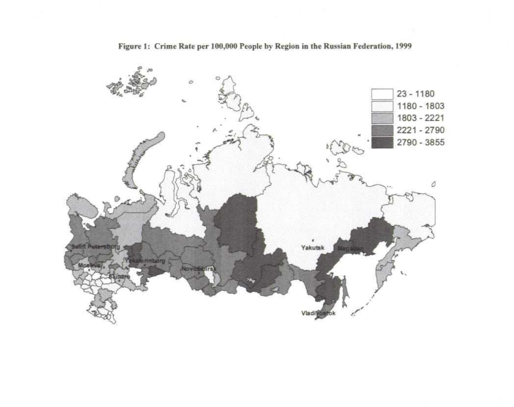

Figure 1: Crime Rate per 100,000 People by Region in the Russian Federation, 1999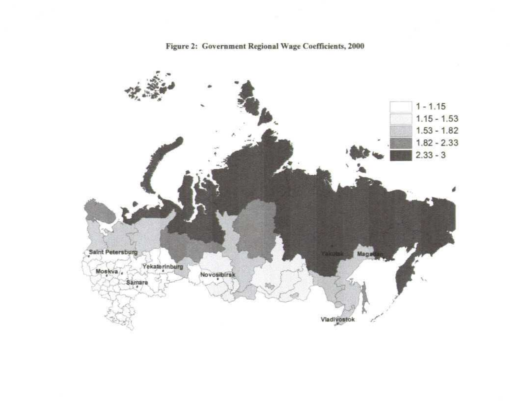

Figure 2: Government Regional Wage Coefficients, 2000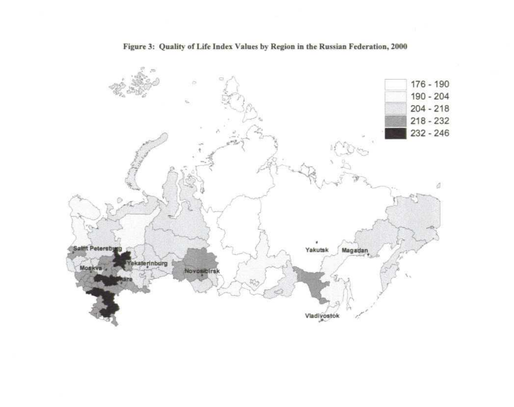

#### Figure 3: Quality of Life Index Values by Region in the Russian Federation, 2000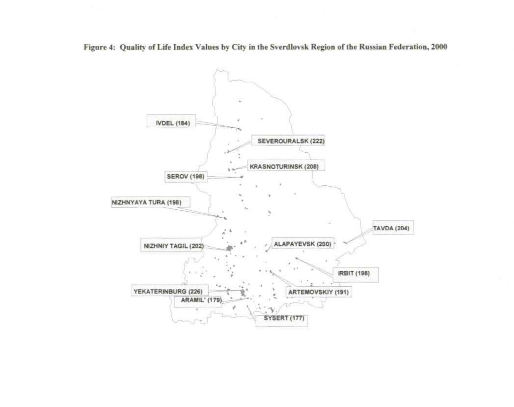Figure 4: Quality of Life Index Values by City in the Sverdlovsk Region of the Russian Federation, 2000